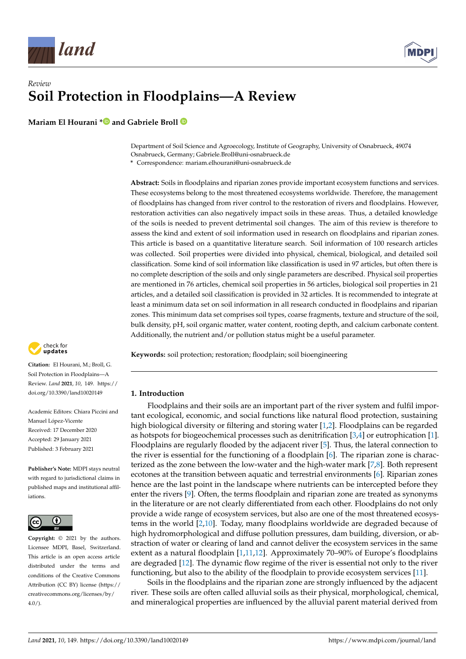



# *Review* **Soil Protection in Floodplains—A Review**

**Mariam El Hourani [\\*](https://orcid.org/0000-0001-8600-0033) and Gabriele Broll**

Department of Soil Science and Agroecology, Institute of Geography, University of Osnabrueck, 49074 Osnabrueck, Germany; Gabriele.Broll@uni-osnabrueck.de

**\*** Correspondence: mariam.elhourani@uni-osnabrueck.de

**Abstract:** Soils in floodplains and riparian zones provide important ecosystem functions and services. These ecosystems belong to the most threatened ecosystems worldwide. Therefore, the management of floodplains has changed from river control to the restoration of rivers and floodplains. However, restoration activities can also negatively impact soils in these areas. Thus, a detailed knowledge of the soils is needed to prevent detrimental soil changes. The aim of this review is therefore to assess the kind and extent of soil information used in research on floodplains and riparian zones. This article is based on a quantitative literature search. Soil information of 100 research articles was collected. Soil properties were divided into physical, chemical, biological, and detailed soil classification. Some kind of soil information like classification is used in 97 articles, but often there is no complete description of the soils and only single parameters are described. Physical soil properties are mentioned in 76 articles, chemical soil properties in 56 articles, biological soil properties in 21 articles, and a detailed soil classification is provided in 32 articles. It is recommended to integrate at least a minimum data set on soil information in all research conducted in floodplains and riparian zones. This minimum data set comprises soil types, coarse fragments, texture and structure of the soil, bulk density, pH, soil organic matter, water content, rooting depth, and calcium carbonate content. Additionally, the nutrient and/or pollution status might be a useful parameter.

**Keywords:** soil protection; restoration; floodplain; soil bioengineering

## **1. Introduction**

Floodplains and their soils are an important part of the river system and fulfil important ecological, economic, and social functions like natural flood protection, sustaining high biological diversity or filtering and storing water [\[1,](#page-18-0)[2\]](#page-18-1). Floodplains can be regarded as hotspots for biogeochemical processes such as denitrification [\[3](#page-18-2)[,4\]](#page-18-3) or eutrophication [\[1\]](#page-18-0). Floodplains are regularly flooded by the adjacent river [\[5\]](#page-18-4). Thus, the lateral connection to the river is essential for the functioning of a floodplain [\[6\]](#page-18-5). The riparian zone is characterized as the zone between the low-water and the high-water mark [\[7](#page-18-6)[,8\]](#page-18-7). Both represent ecotones at the transition between aquatic and terrestrial environments [\[6\]](#page-18-5). Riparian zones hence are the last point in the landscape where nutrients can be intercepted before they enter the rivers [\[9\]](#page-18-8). Often, the terms floodplain and riparian zone are treated as synonyms in the literature or are not clearly differentiated from each other. Floodplains do not only provide a wide range of ecosystem services, but also are one of the most threatened ecosystems in the world [\[2,](#page-18-1)[10\]](#page-18-9). Today, many floodplains worldwide are degraded because of high hydromorphological and diffuse pollution pressures, dam building, diversion, or abstraction of water or clearing of land and cannot deliver the ecosystem services in the same extent as a natural floodplain [\[1](#page-18-0)[,11](#page-18-10)[,12\]](#page-18-11). Approximately 70–90% of Europe's floodplains are degraded [\[12\]](#page-18-11). The dynamic flow regime of the river is essential not only to the river functioning, but also to the ability of the floodplain to provide ecosystem services [\[11\]](#page-18-10).

Soils in the floodplains and the riparian zone are strongly influenced by the adjacent river. These soils are often called alluvial soils as their physical, morphological, chemical, and mineralogical properties are influenced by the alluvial parent material derived from



**Citation:** El Hourani, M.; Broll, G. Soil Protection in Floodplains—A Review. *Land* **2021**, *10*, 149. [https://](https://doi.org/10.3390/land10020149) [doi.org/10.3390/land10020149](https://doi.org/10.3390/land10020149)

Academic Editors: Chiara Piccini and Manuel López-Vicente Received: 17 December 2020 Accepted: 29 January 2021 Published: 3 February 2021

**Publisher's Note:** MDPI stays neutral with regard to jurisdictional claims in published maps and institutional affiliations.



**Copyright:** © 2021 by the authors. Licensee MDPI, Basel, Switzerland. This article is an open access article distributed under the terms and conditions of the Creative Commons Attribution (CC BY) license (https:/[/](https://creativecommons.org/licenses/by/4.0/) [creativecommons.org/licenses/by/](https://creativecommons.org/licenses/by/4.0/)  $4.0/$ ).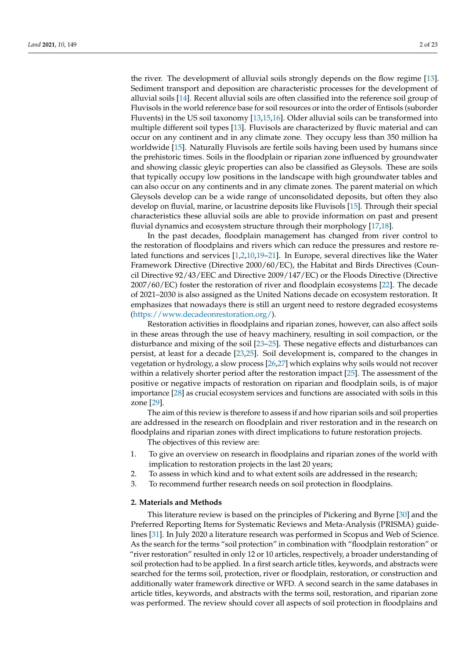the river. The development of alluvial soils strongly depends on the flow regime [\[13\]](#page-18-12). Sediment transport and deposition are characteristic processes for the development of alluvial soils [\[14\]](#page-18-13). Recent alluvial soils are often classified into the reference soil group of Fluvisols in the world reference base for soil resources or into the order of Entisols (suborder Fluvents) in the US soil taxonomy [\[13](#page-18-12)[,15](#page-18-14)[,16\]](#page-18-15). Older alluvial soils can be transformed into multiple different soil types [\[13\]](#page-18-12). Fluvisols are characterized by fluvic material and can occur on any continent and in any climate zone. They occupy less than 350 million ha worldwide [\[15\]](#page-18-14). Naturally Fluvisols are fertile soils having been used by humans since the prehistoric times. Soils in the floodplain or riparian zone influenced by groundwater and showing classic gleyic properties can also be classified as Gleysols. These are soils that typically occupy low positions in the landscape with high groundwater tables and can also occur on any continents and in any climate zones. The parent material on which Gleysols develop can be a wide range of unconsolidated deposits, but often they also develop on fluvial, marine, or lacustrine deposits like Fluvisols [\[15\]](#page-18-14). Through their special characteristics these alluvial soils are able to provide information on past and present fluvial dynamics and ecosystem structure through their morphology [\[17,](#page-18-16)[18\]](#page-18-17).

In the past decades, floodplain management has changed from river control to the restoration of floodplains and rivers which can reduce the pressures and restore related functions and services [\[1](#page-18-0)[,2](#page-18-1)[,10](#page-18-9)[,19–](#page-18-18)[21\]](#page-18-19). In Europe, several directives like the Water Framework Directive (Directive 2000/60/EC), the Habitat and Birds Directives (Council Directive 92/43/EEC and Directive 2009/147/EC) or the Floods Directive (Directive 2007/60/EC) foster the restoration of river and floodplain ecosystems [\[22\]](#page-18-20). The decade of 2021–2030 is also assigned as the United Nations decade on ecosystem restoration. It emphasizes that nowadays there is still an urgent need to restore degraded ecosystems [\(https://www.decadeonrestoration.org/\)](https://www.decadeonrestoration.org/).

Restoration activities in floodplains and riparian zones, however, can also affect soils in these areas through the use of heavy machinery, resulting in soil compaction, or the disturbance and mixing of the soil [\[23–](#page-18-21)[25\]](#page-18-22). These negative effects and disturbances can persist, at least for a decade [\[23,](#page-18-21)[25\]](#page-18-22). Soil development is, compared to the changes in vegetation or hydrology, a slow process [\[26](#page-18-23)[,27\]](#page-18-24) which explains why soils would not recover within a relatively shorter period after the restoration impact [\[25\]](#page-18-22). The assessment of the positive or negative impacts of restoration on riparian and floodplain soils, is of major importance [\[28\]](#page-18-25) as crucial ecosystem services and functions are associated with soils in this zone [\[29\]](#page-19-0).

The aim of this review is therefore to assess if and how riparian soils and soil properties are addressed in the research on floodplain and river restoration and in the research on floodplains and riparian zones with direct implications to future restoration projects.

The objectives of this review are:

- 1. To give an overview on research in floodplains and riparian zones of the world with implication to restoration projects in the last 20 years;
- 2. To assess in which kind and to what extent soils are addressed in the research;
- 3. To recommend further research needs on soil protection in floodplains.

#### **2. Materials and Methods**

This literature review is based on the principles of Pickering and Byrne [\[30\]](#page-19-1) and the Preferred Reporting Items for Systematic Reviews and Meta-Analysis (PRISMA) guidelines [\[31\]](#page-19-2). In July 2020 a literature research was performed in Scopus and Web of Science. As the search for the terms "soil protection" in combination with "floodplain restoration" or "river restoration" resulted in only 12 or 10 articles, respectively, a broader understanding of soil protection had to be applied. In a first search article titles, keywords, and abstracts were searched for the terms soil, protection, river or floodplain, restoration, or construction and additionally water framework directive or WFD. A second search in the same databases in article titles, keywords, and abstracts with the terms soil, restoration, and riparian zone was performed. The review should cover all aspects of soil protection in floodplains and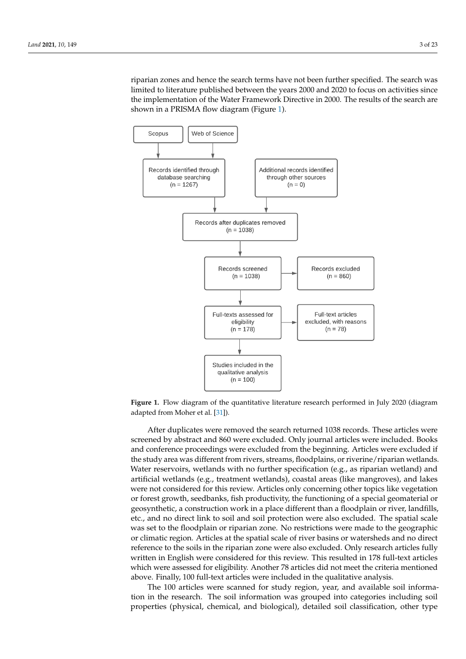riparian zones and hence the search terms have not been further specified. The search was limited to literature published between the years 2000 and 2020 to focus on activities since the implementation of the Water Framework Directive in 2000. The results of the search are shown in a PRISMA flow diagram (Figure [1\)](#page-2-0).

<span id="page-2-0"></span>

adapted from Moher et al. [31]). **Figure 1.** Flow diagram of the quantitative literature research performed in July 2020 (diagram

screened by abstract and 860 were excluded. Only journal articles were included. Books and conference proceedings were excluded from the beginning. Articles were excluded if the study area was different from rivers, streams, floodplains, or riverine/riparian wetlands. Water reservoirs, wetlands with no further specification (e.g., as riparian wetland) and artificial wetlands (e.g., treatment wetlands), coastal areas (like mangroves), and lakes were not considered for this review. Articles only concerning other topics like vegetation or forest growth, seedbanks, fish productivity, the functioning of a special geomaterial or geosynthetic, a construction work in a place different than a floodplain or river, landfills, etc., and no direct link to soil and soil protection were also excluded. The spatial scale was set to the floodplain or riparian zone. No restrictions were made to the geographic or climatic region. Articles at the spatial scale of river basins or watersheds and no direct After duplicates were removed the search returned 1038 records. These articles were reference to the soils in the riparian zone were also excluded. Only research articles fully written in English were considered for this review. This resulted in 178 full-text articles which were assessed for eligibility. Another 78 articles did not meet the criteria mentioned above. Finally, 100 full-text articles were included in the qualitative analysis.

The 100 articles were scanned for study region, year, and available soil information in the research. The soil information was grouped into categories including soil properties (physical, chemical, and biological), detailed soil classification, other type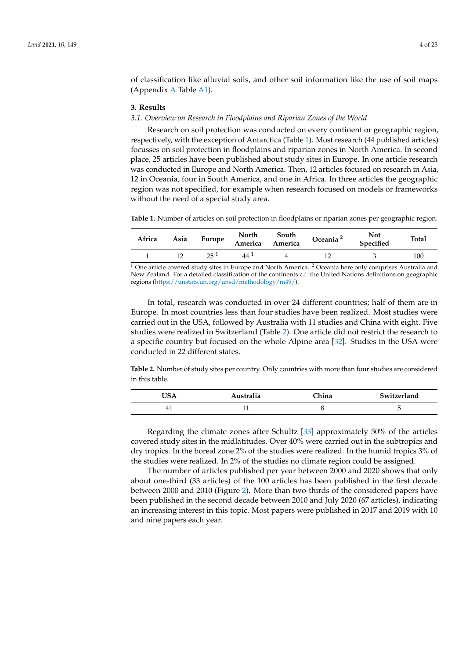of classification like alluvial soils, and other soil information like the use of soil maps (Appendix [A](#page-12-0) Table [A1\)](#page-17-0).

#### **3. Results**

#### <span id="page-3-2"></span>*3.1. Overview on Research in Floodplains and Riparian Zones of the World*

Research on soil protection was conducted on every continent or geographic region, respectively, with the exception of Antarctica (Table [1\)](#page-3-0). Most research (44 published articles) focusses on soil protection in floodplains and riparian zones in North America. In second place, 25 articles have been published about study sites in Europe. In one article research was conducted in Europe and North America. Then, 12 articles focused on research in Asia, 12 in Oceania, four in South America, and one in Africa. In three articles the geographic region was not specified, for example when research focused on models or frameworks without the need of a special study area.

<span id="page-3-0"></span>**Table 1.** Number of articles on soil protection in floodplains or riparian zones per geographic region.

| Africa | Asia |     | Europe North South<br>America America | Oceania <sup>2</sup> | <b>Not</b><br>Specified | <b>Total</b> |
|--------|------|-----|---------------------------------------|----------------------|-------------------------|--------------|
|        |      | 25I | 44                                    |                      |                         | 100          |

 $\frac{1}{1}$  One article covered study sites in Europe and North America. <sup>2</sup> Oceania here only comprises Australia and New Zealand. For a detailed classification of the continents c.f. the United Nations definitions on geographic regions [\(https://unstats.un.org/unsd/methodology/m49/\)](https://unstats.un.org/unsd/methodology/m49/).

In total, research was conducted in over 24 different countries; half of them are in Europe. In most countries less than four studies have been realized. Most studies were carried out in the USA, followed by Australia with 11 studies and China with eight. Five studies were realized in Switzerland (Table [2\)](#page-3-1). One article did not restrict the research to a specific country but focused on the whole Alpine area [\[32\]](#page-19-3). Studies in the USA were conducted in 22 different states.

<span id="page-3-1"></span>**Table 2.** Number of study sites per country. Only countries with more than four studies are considered in this table.

| USA | Australia | <b>Thina</b> | Switzerland |
|-----|-----------|--------------|-------------|
| 41. |           |              |             |

Regarding the climate zones after Schultz [\[33\]](#page-19-4) approximately 50% of the articles covered study sites in the midlatitudes. Over 40% were carried out in the subtropics and dry tropics. In the boreal zone 2% of the studies were realized. In the humid tropics 3% of the studies were realized. In 2% of the studies no climate region could be assigned.

The number of articles published per year between 2000 and 2020 shows that only about one-third (33 articles) of the 100 articles has been published in the first decade between 2000 and 2010 (Figure [2\)](#page-4-0). More than two-thirds of the considered papers have been published in the second decade between 2010 and July 2020 (67 articles), indicating an increasing interest in this topic. Most papers were published in 2017 and 2019 with 10 and nine papers each year.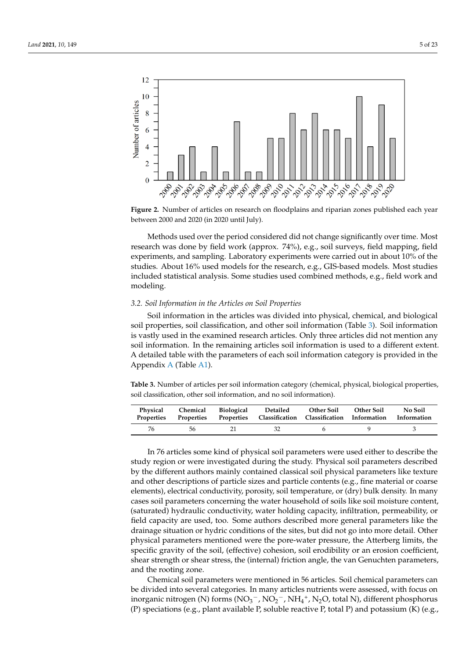<span id="page-4-0"></span>

**Figure 2000 and 2020 (in 2020 until July).** between 2000 and 2020 (in 2020 until July). **Figure 2.** Number of articles on research on floodplains and riparian zones published each year

research was done by field work (approx. 74%), e.g., soil surveys, field mapping, field experiments, and sampling. Laboratory experiments were carried out in about 10% of the studies. About 16% used models for the research, e.g., GIS-based models. Most studies included statistical analysis. Some studies used combined methods, e.g., field work and modeling. Some statistical analysis. Some studies used combined methods, e.g., field methods, e.g., field methods, e.g., field methods, e.g., field methods, e.g., field methods, e.g., field methods, e.g., field methods, e. Methods used over the period considered did not change significantly over time. Most

#### *3.2. Soil Information in the Articles on Soil Properties*

Soil information in the articles was divided into physical, chemical, and biological soil properties, soil classification, and other soil information (Table 3). Soil information is vastly used in the examined research articles. Only three articles did not mention any soil information. In the remaining articles soil information is used to a different extent. A detailed table with the parameters of each soil information category is provided in the Appendix A (Table A1).

<span id="page-4-1"></span>soil classification, other soil information, and no soil information). **Table 3.** Number of articles per soil information category (chemical, physical, biological properties,

| Physical<br>Properties |     |        | Chemical Biological Detailed Other Soil Other Soil<br>Properties Properties Classification Classification Information Information |  | No Soil |
|------------------------|-----|--------|-----------------------------------------------------------------------------------------------------------------------------------|--|---------|
| 76                     | .56 | - 21 - | -32-                                                                                                                              |  |         |

In 76 articles some kind of physical soil parameters were used either to describe the In 76 articles some kind of physical soil parameters were used either to describe the study region or were investigated during the study. Physical soil parameters described by the different authors mainly contained classical soil physical parameters like texture and other descriptions of particle sizes and particle contents (e.g., fine material or coarse ments), electrical conductivity, porosity, soil temperature, or (dry) bulk density. In many elements), electrical conductivity, porosity, soil temperature, or (dry) bulk density. In many cases soil parameters concerning the water household of soils like soil moisture content, cases soil parameters concerning the water household of soils like soil moisture content, (saturated) hydraulic conductivity, water holding capacity, infiltration, permeability, or (saturated) hydraulic conductivity, water holding capacity, infiltration, permeability, or field capacity are used, too. Some authors described more general parameters like the field capacity are used, too. Some authors described more general parameters like the drainage situation or hydric conditions of the sites, but did not go into more detail. Other drainage situation or hydric conditions of the sites, but did not go into more detail. Other physical parameters mentioned were the pore-water pressure, the Atterberg limits, the physical parameters mentioned were the pore-water pressure, the Atterberg limits, the specific gravity of the soil, (effective) cohesion, soil erodibility or an erosion coefficient, shear strength or shear stress, the (internal) friction angle, the van Genuchten parameters, shear strength or shear stress, the (internal) friction angle, the van Genuchten parameters, and the rooting zone. and the rooting zone.

Chemical soil parameters were mentioned in 56 articles. Soil chemical parameters can be divided into several categories. In many articles nutrients were assessed, with focus on be divided into several categories. In many articles nutrients were assessed, with focus on inorganic nitrogen (N) forms ( $NO<sub>3</sub><sup>-</sup>$ ,  $NO<sub>2</sub><sup>-</sup>$ ,  $NH<sub>4</sub><sup>+</sup>$ ,  $N<sub>2</sub>O$ , total N), different phosphorus (P) speciations (e.g., plant available P, soluble reactive P, total P) and potassium (K) (e.g.,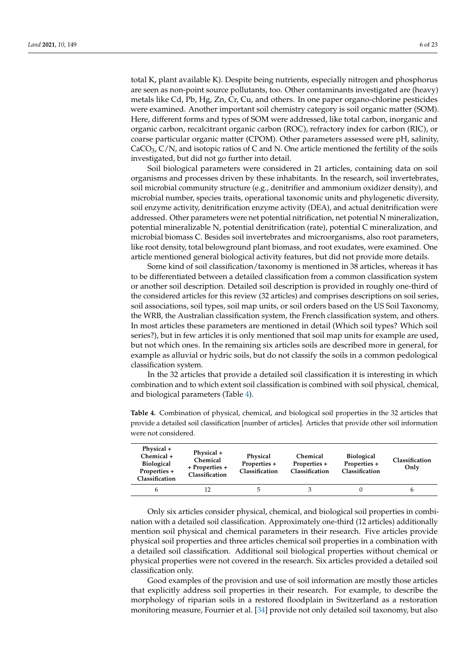total K, plant available K). Despite being nutrients, especially nitrogen and phosphorus are seen as non-point source pollutants, too. Other contaminants investigated are (heavy) metals like Cd, Pb, Hg, Zn, Cr, Cu, and others. In one paper organo-chlorine pesticides were examined. Another important soil chemistry category is soil organic matter (SOM). Here, different forms and types of SOM were addressed, like total carbon, inorganic and organic carbon, recalcitrant organic carbon (ROC), refractory index for carbon (RIC), or coarse particular organic matter (CPOM). Other parameters assessed were pH, salinity,  $CaCO<sub>3</sub>$ , C/N, and isotopic ratios of C and N. One article mentioned the fertility of the soils investigated, but did not go further into detail.

Soil biological parameters were considered in 21 articles, containing data on soil organisms and processes driven by these inhabitants. In the research, soil invertebrates, soil microbial community structure (e.g., denitrifier and ammonium oxidizer density), and microbial number, species traits, operational taxonomic units and phylogenetic diversity, soil enzyme activity, denitrification enzyme activity (DEA), and actual denitrification were addressed. Other parameters were net potential nitrification, net potential N mineralization, potential mineralizable N, potential denitrification (rate), potential C mineralization, and microbial biomass C. Besides soil invertebrates and microorganisms, also root parameters, like root density, total belowground plant biomass, and root exudates, were examined. One article mentioned general biological activity features, but did not provide more details.

Some kind of soil classification/taxonomy is mentioned in 38 articles, whereas it has to be differentiated between a detailed classification from a common classification system or another soil description. Detailed soil description is provided in roughly one-third of the considered articles for this review (32 articles) and comprises descriptions on soil series, soil associations, soil types, soil map units, or soil orders based on the US Soil Taxonomy, the WRB, the Australian classification system, the French classification system, and others. In most articles these parameters are mentioned in detail (Which soil types? Which soil series?), but in few articles it is only mentioned that soil map units for example are used, but not which ones. In the remaining six articles soils are described more in general, for example as alluvial or hydric soils, but do not classify the soils in a common pedological classification system.

In the 32 articles that provide a detailed soil classification it is interesting in which combination and to which extent soil classification is combined with soil physical, chemical, and biological parameters (Table [4\)](#page-5-0).

| Physical +<br>Chemical +<br><b>Biological</b><br>Properties +<br>Classification | Physical +<br>Chemical<br>+ Properties +<br>Classification | Physical<br>Properties +<br>Classification | <b>Chemical</b><br>Properties +<br>Classification | <b>Biological</b><br>Properties +<br>Classification | Classification<br>Only |
|---------------------------------------------------------------------------------|------------------------------------------------------------|--------------------------------------------|---------------------------------------------------|-----------------------------------------------------|------------------------|
|                                                                                 | 12                                                         |                                            |                                                   |                                                     |                        |

<span id="page-5-0"></span>**Table 4.** Combination of physical, chemical, and biological soil properties in the 32 articles that provide a detailed soil classification [number of articles]. Articles that provide other soil information were not considered.

Only six articles consider physical, chemical, and biological soil properties in combination with a detailed soil classification. Approximately one-third (12 articles) additionally mention soil physical and chemical parameters in their research. Five articles provide physical soil properties and three articles chemical soil properties in a combination with a detailed soil classification. Additional soil biological properties without chemical or physical properties were not covered in the research. Six articles provided a detailed soil classification only.

Good examples of the provision and use of soil information are mostly those articles that explicitly address soil properties in their research. For example, to describe the morphology of riparian soils in a restored floodplain in Switzerland as a restoration monitoring measure, Fournier et al. [\[34\]](#page-19-5) provide not only detailed soil taxonomy, but also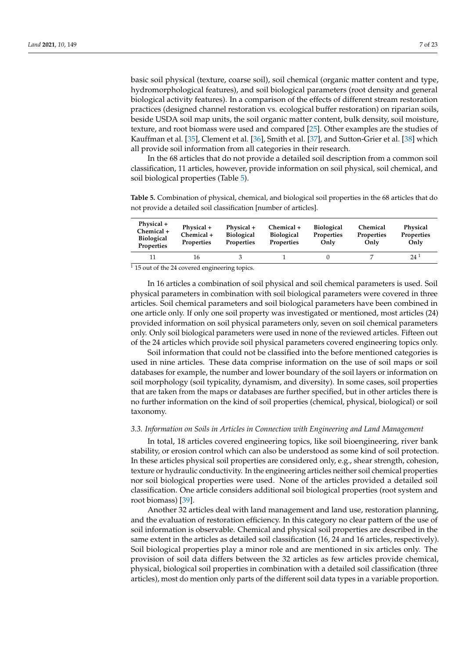basic soil physical (texture, coarse soil), soil chemical (organic matter content and type, hydromorphological features), and soil biological parameters (root density and general biological activity features). In a comparison of the effects of different stream restoration practices (designed channel restoration vs. ecological buffer restoration) on riparian soils, beside USDA soil map units, the soil organic matter content, bulk density, soil moisture, texture, and root biomass were used and compared [\[25\]](#page-18-22). Other examples are the studies of Kauffman et al. [\[35\]](#page-19-6), Clement et al. [\[36\]](#page-19-7), Smith et al. [\[37\]](#page-19-8), and Sutton-Grier et al. [\[38\]](#page-19-9) which all provide soil information from all categories in their research.

In the 68 articles that do not provide a detailed soil description from a common soil classification, 11 articles, however, provide information on soil physical, soil chemical, and soil biological properties (Table [5\)](#page-6-0).

<span id="page-6-0"></span>**Table 5.** Combination of physical, chemical, and biological soil properties in the 68 articles that do not provide a detailed soil classification [number of articles].

| Physical +<br>Chemical +<br><b>Biological</b><br><b>Properties</b> | Physical +<br>Chemical +<br>Properties | Physical +<br><b>Biological</b><br><b>Properties</b> | Chemical +<br><b>Biological</b><br><b>Properties</b> | <b>Biological</b><br>Properties<br>Only | Chemical<br><b>Properties</b><br>Only | Physical<br>Properties<br>Only |
|--------------------------------------------------------------------|----------------------------------------|------------------------------------------------------|------------------------------------------------------|-----------------------------------------|---------------------------------------|--------------------------------|
|                                                                    | 16                                     |                                                      |                                                      |                                         |                                       | $24^1$                         |

 $\frac{1}{115}$  out of the 24 covered engineering topics.

In 16 articles a combination of soil physical and soil chemical parameters is used. Soil physical parameters in combination with soil biological parameters were covered in three articles. Soil chemical parameters and soil biological parameters have been combined in one article only. If only one soil property was investigated or mentioned, most articles (24) provided information on soil physical parameters only, seven on soil chemical parameters only. Only soil biological parameters were used in none of the reviewed articles. Fifteen out of the 24 articles which provide soil physical parameters covered engineering topics only.

Soil information that could not be classified into the before mentioned categories is used in nine articles. These data comprise information on the use of soil maps or soil databases for example, the number and lower boundary of the soil layers or information on soil morphology (soil typicality, dynamism, and diversity). In some cases, soil properties that are taken from the maps or databases are further specified, but in other articles there is no further information on the kind of soil properties (chemical, physical, biological) or soil taxonomy.

#### *3.3. Information on Soils in Articles in Connection with Engineering and Land Management*

In total, 18 articles covered engineering topics, like soil bioengineering, river bank stability, or erosion control which can also be understood as some kind of soil protection. In these articles physical soil properties are considered only, e.g., shear strength, cohesion, texture or hydraulic conductivity. In the engineering articles neither soil chemical properties nor soil biological properties were used. None of the articles provided a detailed soil classification. One article considers additional soil biological properties (root system and root biomass) [\[39\]](#page-19-10).

Another 32 articles deal with land management and land use, restoration planning, and the evaluation of restoration efficiency. In this category no clear pattern of the use of soil information is observable. Chemical and physical soil properties are described in the same extent in the articles as detailed soil classification (16, 24 and 16 articles, respectively). Soil biological properties play a minor role and are mentioned in six articles only. The provision of soil data differs between the 32 articles as few articles provide chemical, physical, biological soil properties in combination with a detailed soil classification (three articles), most do mention only parts of the different soil data types in a variable proportion.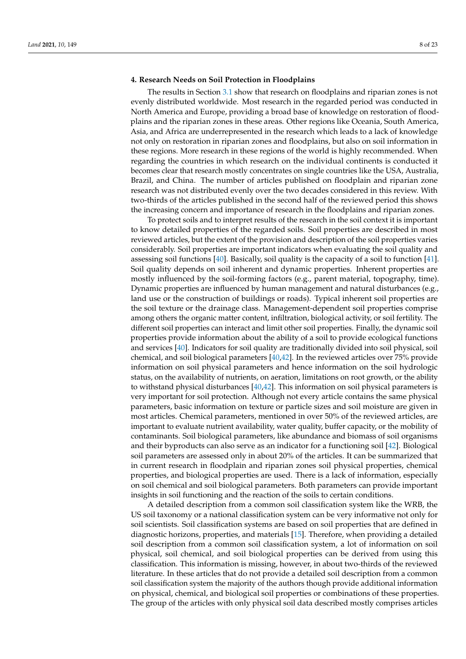#### **4. Research Needs on Soil Protection in Floodplains**

The results in Section [3.1](#page-3-2) show that research on floodplains and riparian zones is not evenly distributed worldwide. Most research in the regarded period was conducted in North America and Europe, providing a broad base of knowledge on restoration of floodplains and the riparian zones in these areas. Other regions like Oceania, South America, Asia, and Africa are underrepresented in the research which leads to a lack of knowledge not only on restoration in riparian zones and floodplains, but also on soil information in these regions. More research in these regions of the world is highly recommended. When regarding the countries in which research on the individual continents is conducted it becomes clear that research mostly concentrates on single countries like the USA, Australia, Brazil, and China. The number of articles published on floodplain and riparian zone research was not distributed evenly over the two decades considered in this review. With two-thirds of the articles published in the second half of the reviewed period this shows the increasing concern and importance of research in the floodplains and riparian zones.

To protect soils and to interpret results of the research in the soil context it is important to know detailed properties of the regarded soils. Soil properties are described in most reviewed articles, but the extent of the provision and description of the soil properties varies considerably. Soil properties are important indicators when evaluating the soil quality and assessing soil functions [\[40\]](#page-19-11). Basically, soil quality is the capacity of a soil to function [\[41\]](#page-19-12). Soil quality depends on soil inherent and dynamic properties. Inherent properties are mostly influenced by the soil-forming factors (e.g., parent material, topography, time). Dynamic properties are influenced by human management and natural disturbances (e.g., land use or the construction of buildings or roads). Typical inherent soil properties are the soil texture or the drainage class. Management-dependent soil properties comprise among others the organic matter content, infiltration, biological activity, or soil fertility. The different soil properties can interact and limit other soil properties. Finally, the dynamic soil properties provide information about the ability of a soil to provide ecological functions and services [\[40\]](#page-19-11). Indicators for soil quality are traditionally divided into soil physical, soil chemical, and soil biological parameters [\[40,](#page-19-11)[42\]](#page-19-13). In the reviewed articles over 75% provide information on soil physical parameters and hence information on the soil hydrologic status, on the availability of nutrients, on aeration, limitations on root growth, or the ability to withstand physical disturbances [\[40](#page-19-11)[,42\]](#page-19-13). This information on soil physical parameters is very important for soil protection. Although not every article contains the same physical parameters, basic information on texture or particle sizes and soil moisture are given in most articles. Chemical parameters, mentioned in over 50% of the reviewed articles, are important to evaluate nutrient availability, water quality, buffer capacity, or the mobility of contaminants. Soil biological parameters, like abundance and biomass of soil organisms and their byproducts can also serve as an indicator for a functioning soil [\[42\]](#page-19-13). Biological soil parameters are assessed only in about 20% of the articles. It can be summarized that in current research in floodplain and riparian zones soil physical properties, chemical properties, and biological properties are used. There is a lack of information, especially on soil chemical and soil biological parameters. Both parameters can provide important insights in soil functioning and the reaction of the soils to certain conditions.

A detailed description from a common soil classification system like the WRB, the US soil taxonomy or a national classification system can be very informative not only for soil scientists. Soil classification systems are based on soil properties that are defined in diagnostic horizons, properties, and materials [\[15\]](#page-18-14). Therefore, when providing a detailed soil description from a common soil classification system, a lot of information on soil physical, soil chemical, and soil biological properties can be derived from using this classification. This information is missing, however, in about two-thirds of the reviewed literature. In these articles that do not provide a detailed soil description from a common soil classification system the majority of the authors though provide additional information on physical, chemical, and biological soil properties or combinations of these properties. The group of the articles with only physical soil data described mostly comprises articles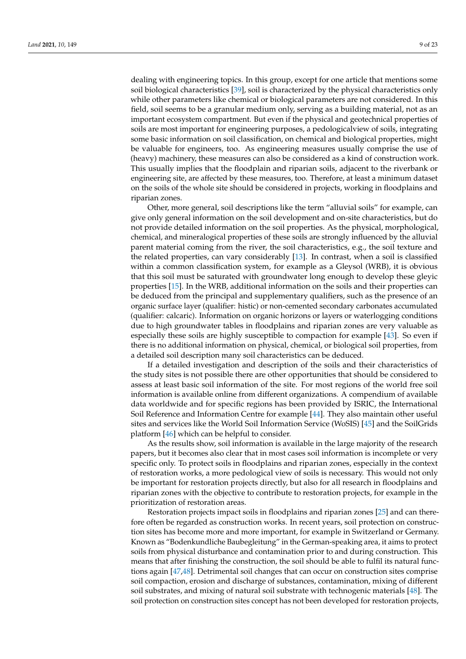dealing with engineering topics. In this group, except for one article that mentions some soil biological characteristics [\[39\]](#page-19-10), soil is characterized by the physical characteristics only while other parameters like chemical or biological parameters are not considered. In this field, soil seems to be a granular medium only, serving as a building material, not as an important ecosystem compartment. But even if the physical and geotechnical properties of soils are most important for engineering purposes, a pedologicalview of soils, integrating some basic information on soil classification, on chemical and biological properties, might be valuable for engineers, too. As engineering measures usually comprise the use of (heavy) machinery, these measures can also be considered as a kind of construction work. This usually implies that the floodplain and riparian soils, adjacent to the riverbank or engineering site, are affected by these measures, too. Therefore, at least a minimum dataset on the soils of the whole site should be considered in projects, working in floodplains and riparian zones.

Other, more general, soil descriptions like the term "alluvial soils" for example, can give only general information on the soil development and on-site characteristics, but do not provide detailed information on the soil properties. As the physical, morphological, chemical, and mineralogical properties of these soils are strongly influenced by the alluvial parent material coming from the river, the soil characteristics, e.g., the soil texture and the related properties, can vary considerably [\[13\]](#page-18-12). In contrast, when a soil is classified within a common classification system, for example as a Gleysol (WRB), it is obvious that this soil must be saturated with groundwater long enough to develop these gleyic properties [\[15\]](#page-18-14). In the WRB, additional information on the soils and their properties can be deduced from the principal and supplementary qualifiers, such as the presence of an organic surface layer (qualifier: histic) or non-cemented secondary carbonates accumulated (qualifier: calcaric). Information on organic horizons or layers or waterlogging conditions due to high groundwater tables in floodplains and riparian zones are very valuable as especially these soils are highly susceptible to compaction for example [\[43\]](#page-19-14). So even if there is no additional information on physical, chemical, or biological soil properties, from a detailed soil description many soil characteristics can be deduced.

If a detailed investigation and description of the soils and their characteristics of the study sites is not possible there are other opportunities that should be considered to assess at least basic soil information of the site. For most regions of the world free soil information is available online from different organizations. A compendium of available data worldwide and for specific regions has been provided by ISRIC, the International Soil Reference and Information Centre for example [\[44\]](#page-19-15). They also maintain other useful sites and services like the World Soil Information Service (WoSIS) [\[45\]](#page-19-16) and the SoilGrids platform [\[46\]](#page-19-17) which can be helpful to consider.

As the results show, soil information is available in the large majority of the research papers, but it becomes also clear that in most cases soil information is incomplete or very specific only. To protect soils in floodplains and riparian zones, especially in the context of restoration works, a more pedological view of soils is necessary. This would not only be important for restoration projects directly, but also for all research in floodplains and riparian zones with the objective to contribute to restoration projects, for example in the prioritization of restoration areas.

Restoration projects impact soils in floodplains and riparian zones [\[25\]](#page-18-22) and can therefore often be regarded as construction works. In recent years, soil protection on construction sites has become more and more important, for example in Switzerland or Germany. Known as "Bodenkundliche Baubegleitung" in the German-speaking area, it aims to protect soils from physical disturbance and contamination prior to and during construction. This means that after finishing the construction, the soil should be able to fulfil its natural functions again [\[47](#page-19-18)[,48\]](#page-19-19). Detrimental soil changes that can occur on construction sites comprise soil compaction, erosion and discharge of substances, contamination, mixing of different soil substrates, and mixing of natural soil substrate with technogenic materials [\[48\]](#page-19-19). The soil protection on construction sites concept has not been developed for restoration projects,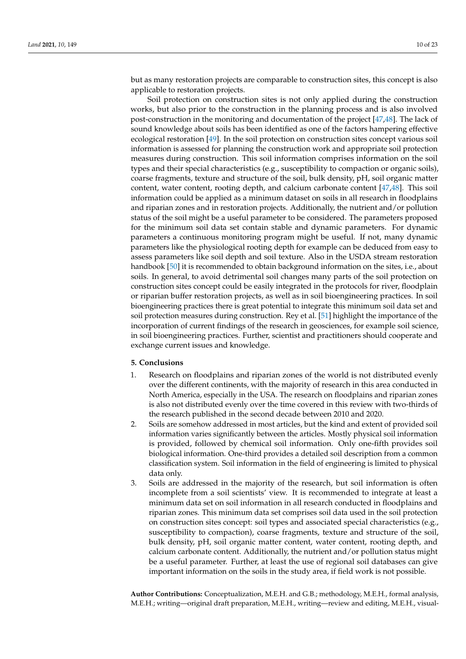but as many restoration projects are comparable to construction sites, this concept is also applicable to restoration projects.

Soil protection on construction sites is not only applied during the construction works, but also prior to the construction in the planning process and is also involved post-construction in the monitoring and documentation of the project [\[47](#page-19-18)[,48\]](#page-19-19). The lack of sound knowledge about soils has been identified as one of the factors hampering effective ecological restoration [\[49\]](#page-19-20). In the soil protection on construction sites concept various soil information is assessed for planning the construction work and appropriate soil protection measures during construction. This soil information comprises information on the soil types and their special characteristics (e.g., susceptibility to compaction or organic soils), coarse fragments, texture and structure of the soil, bulk density, pH, soil organic matter content, water content, rooting depth, and calcium carbonate content [\[47](#page-19-18)[,48\]](#page-19-19). This soil information could be applied as a minimum dataset on soils in all research in floodplains and riparian zones and in restoration projects. Additionally, the nutrient and/or pollution status of the soil might be a useful parameter to be considered. The parameters proposed for the minimum soil data set contain stable and dynamic parameters. For dynamic parameters a continuous monitoring program might be useful. If not, many dynamic parameters like the physiological rooting depth for example can be deduced from easy to assess parameters like soil depth and soil texture. Also in the USDA stream restoration handbook [\[50\]](#page-19-21) it is recommended to obtain background information on the sites, i.e., about soils. In general, to avoid detrimental soil changes many parts of the soil protection on construction sites concept could be easily integrated in the protocols for river, floodplain or riparian buffer restoration projects, as well as in soil bioengineering practices. In soil bioengineering practices there is great potential to integrate this minimum soil data set and soil protection measures during construction. Rey et al. [\[51\]](#page-19-22) highlight the importance of the incorporation of current findings of the research in geosciences, for example soil science, in soil bioengineering practices. Further, scientist and practitioners should cooperate and exchange current issues and knowledge.

#### **5. Conclusions**

- 1. Research on floodplains and riparian zones of the world is not distributed evenly over the different continents, with the majority of research in this area conducted in North America, especially in the USA. The research on floodplains and riparian zones is also not distributed evenly over the time covered in this review with two-thirds of the research published in the second decade between 2010 and 2020.
- 2. Soils are somehow addressed in most articles, but the kind and extent of provided soil information varies significantly between the articles. Mostly physical soil information is provided, followed by chemical soil information. Only one-fifth provides soil biological information. One-third provides a detailed soil description from a common classification system. Soil information in the field of engineering is limited to physical data only.
- 3. Soils are addressed in the majority of the research, but soil information is often incomplete from a soil scientists' view. It is recommended to integrate at least a minimum data set on soil information in all research conducted in floodplains and riparian zones. This minimum data set comprises soil data used in the soil protection on construction sites concept: soil types and associated special characteristics (e.g., susceptibility to compaction), coarse fragments, texture and structure of the soil, bulk density, pH, soil organic matter content, water content, rooting depth, and calcium carbonate content. Additionally, the nutrient and/or pollution status might be a useful parameter. Further, at least the use of regional soil databases can give important information on the soils in the study area, if field work is not possible.

**Author Contributions:** Conceptualization, M.E.H. and G.B.; methodology, M.E.H., formal analysis, M.E.H.; writing—original draft preparation, M.E.H., writing—review and editing, M.E.H., visual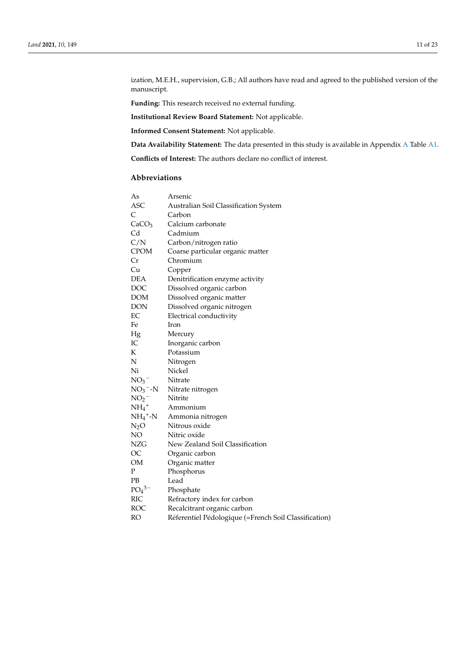ization, M.E.H., supervision, G.B.; All authors have read and agreed to the published version of the manuscript.

**Funding:** This research received no external funding.

**Institutional Review Board Statement:** Not applicable.

**Informed Consent Statement:** Not applicable.

**Data Availability Statement:** The data presented in this study is available in Appendix [A](#page-12-0) Table [A1.](#page-17-0)

**Conflicts of Interest:** The authors declare no conflict of interest.

## **Abbreviations**

| As                     | Arsenic                                               |
|------------------------|-------------------------------------------------------|
| ASC                    | Australian Soil Classification System                 |
| $\mathsf{C}$           | Carbon                                                |
| CaCO <sub>3</sub>      | Calcium carbonate                                     |
| Cd                     | Cadmium                                               |
| C/N                    | Carbon/nitrogen ratio                                 |
| CPOM                   | Coarse particular organic matter                      |
| Cr                     | Chromium                                              |
| Cu                     | Copper                                                |
| DEA                    | Denitrification enzyme activity                       |
| DOC                    | Dissolved organic carbon                              |
| <b>DOM</b>             | Dissolved organic matter                              |
| <b>DON</b>             | Dissolved organic nitrogen                            |
| EC                     | Electrical conductivity                               |
| Fe                     | Iron                                                  |
| Hg                     | Mercury                                               |
| IC                     | Inorganic carbon                                      |
| K                      | Potassium                                             |
| N                      | Nitrogen                                              |
| Ni                     | Nickel                                                |
| NO <sub>3</sub>        | Nitrate                                               |
| $NO_3$ <sup>-</sup> -N | Nitrate nitrogen                                      |
| NO <sub>2</sub>        | Nitrite                                               |
| $NH_4$ <sup>+</sup>    | Ammonium                                              |
| $NH_4^+$ -N            | Ammonia nitrogen                                      |
| $N_2O$                 | Nitrous oxide                                         |
| NO                     | Nitric oxide                                          |
| NZG                    | New Zealand Soil Classification                       |
| OC                     | Organic carbon                                        |
| OM                     | Organic matter                                        |
| P                      | Phosphorus                                            |
| <b>PB</b>              | Lead                                                  |
| $PO_4^{3-}$            | Phosphate                                             |
| <b>RIC</b>             | Refractory index for carbon                           |
| ROC                    | Recalcitrant organic carbon                           |
| <b>RO</b>              | Réferentiel Pédologique (=French Soil Classification) |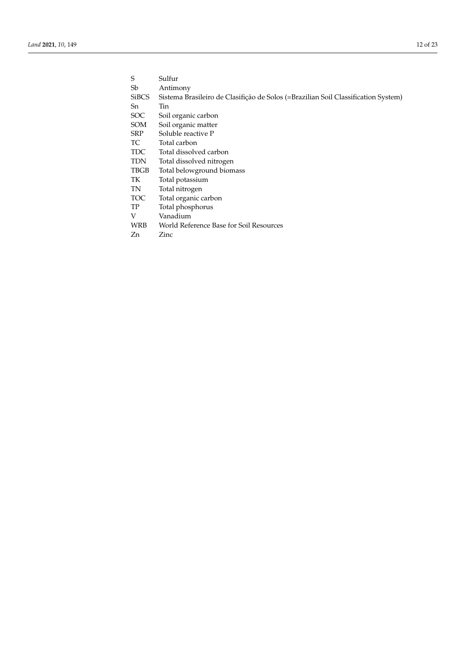| Sulfur      |
|-------------|
| Antimony    |
| Sistema Bra |
|             |

- Sistema Brasileiro de Clasifição de Solos (=Brazilian Soil Classification System)  $\hbox{Tin}$
- Sn<br>SOC
- SOC Soil organic carbon<br>SOM Soil organic matter
- Soil organic matter
- SRP Soluble reactive P
- TC Total carbon<br>TDC Total dissolve
- TDC Total dissolved carbon<br>TDN Total dissolved nitrogen
- TDN Total dissolved nitrogen<br>TBGB Total belowground biom
- TBGB Total belowground biomass<br>TK Total potassium
- Total potassium
- TN Total nitrogen<br>TOC Total organic c
- Total organic carbon
- TP Total phosphorus<br>V Vanadium
- V Vanadium<br>WRB World Refe
- World Reference Base for Soil Resources
- Zn Zinc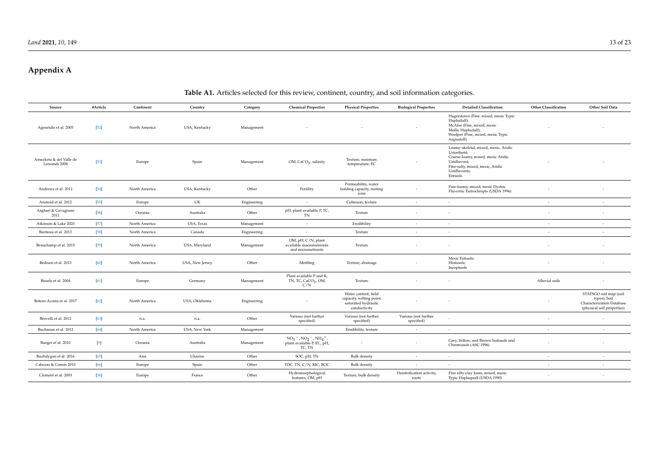# **Appendix A**

# **Table A1.** Articles selected for this review, continent, country, and soil information categories.

<span id="page-12-0"></span>

| Source                                   | #Article | Continent     | Country         | Category    | <b>Chemical Properties</b>                                               | <b>Physical Properties</b>                                                             | <b>Biological Properties</b>       | <b>Detailed Classification</b>                                                                                                                                            | <b>Other Classification</b> | Other Soil Data                                                                                   |
|------------------------------------------|----------|---------------|-----------------|-------------|--------------------------------------------------------------------------|----------------------------------------------------------------------------------------|------------------------------------|---------------------------------------------------------------------------------------------------------------------------------------------------------------------------|-----------------------------|---------------------------------------------------------------------------------------------------|
| Agouridis et al. 2005                    | $[52]$   | North America | USA, Kentucky   | Management  |                                                                          |                                                                                        |                                    | Hagerstown (Fine, mixed, mesic Typic<br>Hapludalf);<br>McAfee (Fine, mixed, mesic<br>Mollic Hapludalf);<br>Woolper (Fine, mixed, mesic Typic<br>Argiudoll)                |                             |                                                                                                   |
| Amezketa & del Valle de<br>Lersundi 2008 | $[53]$   | Europe        | Spain           | Management  | OM, CaCO <sub>3</sub> , salinity                                         | Texture, moisture,<br>temperature, EC                                                  |                                    | Loamy-skeletal, mixed, mesic, Aridic<br>Ustorthent;<br>Coarse-loamy, mixed, mesic Aridic<br>Ustifluvent;<br>Fine-salty, mixed, mesic, Aridic<br>Ustifluvents;<br>Entisols |                             |                                                                                                   |
| Andrews et al. 2011                      | $[54]$   | North America | USA, Kentucky   | Other       | Fertility                                                                | Permeability, water<br>holding capacity, rooting<br>zone                               |                                    | Fine-loamy, mixed, mesic Dystric<br>Fluventic Eutrochrepts (USDA 1996)                                                                                                    |                             |                                                                                                   |
| Anstead et al. 2012                      | $[55]$   | Europe        | UK              | Engineering | $\sim$                                                                   | Cohesion, texture                                                                      | $\sim$                             | $\sim$                                                                                                                                                                    | $\overline{a}$              | $\overline{\phantom{a}}$                                                                          |
| Asghari & Cavagnaro<br>2011              | $[56]$   | Oceania       | Australia       | Other       | pH, plant available P, TC,<br>TN                                         | Texture                                                                                | $\sim$                             |                                                                                                                                                                           |                             | $\overline{\phantom{a}}$                                                                          |
| Atkinson & Lake 2020                     | $[57]$   | North America | USA, Texas      | Management  | $\sim$                                                                   | Erodibility                                                                            | $\sim$                             |                                                                                                                                                                           | $\sim$                      | $\sim$                                                                                            |
| Bariteau et al. 2013                     | $[58]$   | North America | Canada          | Engineering | $\sim$                                                                   | Texture                                                                                | $\sim$                             | $\sim$                                                                                                                                                                    | $\sim$                      | $\sim$                                                                                            |
| Beauchamp et al. 2015                    | $[59]$   | North America | USA, Maryland   | Management  | OM, pH, C/N, plant<br>available macronutrients<br>and micronutrients     | Texture                                                                                |                                    |                                                                                                                                                                           |                             |                                                                                                   |
| Bedison et al. 2013                      | [60]     | North America | USA, New Jersey | Other       | Mottling                                                                 | Texture, drainage                                                                      | $\sim$                             | Mesic Entisols;<br>Histosols;<br>Inceptisols                                                                                                                              |                             |                                                                                                   |
| Bissels et al. 2004                      | [61]     | Europe        | Germany         | Management  | Plant available P and K,<br>TN, TC, CaCO <sub>3</sub> , OM,<br>C/N       | Texture                                                                                |                                    |                                                                                                                                                                           | Alluvial soils              |                                                                                                   |
| Botero-Acosta et al. 2017                | $[62]$   | North America | USA, Oklahoma   | Engineering |                                                                          | Water content, field<br>capacity, wilting point<br>saturated hydraulic<br>conductivity |                                    |                                                                                                                                                                           |                             | STATSGO soil map (soil<br>types); Soil<br>Characterization Database<br>(physical soil properties) |
| Brovelli et al. 2012                     | $[63]$   | n.a.          | n.a.            | Other       | Various (not further<br>specified)                                       | Various (not further<br>specified)                                                     | Various (not further<br>specified) |                                                                                                                                                                           |                             |                                                                                                   |
| Buchanan et al. 2012                     | $[64]$   | North America | USA, New York   | Management  | ÷.                                                                       | Erodibility, texture                                                                   | $\sim$                             |                                                                                                                                                                           | $\sim$                      | $\sim$                                                                                            |
| Burger et al. 2010                       | $[9]$    | Oceania       | Australia       | Management  | $NO_3^-$ , $NO_2^-$ , $NH_4^+$ ,<br>plant available P, EC, pH,<br>TC, TN |                                                                                        | $\overline{\phantom{a}}$           | Grey, Yellow, and Brown Sodosols and<br>Chromosols (ASC 1996)                                                                                                             |                             |                                                                                                   |
| Buzhdygan et al. 2016                    | $[65]$   | Asia          | Ukraine         | Other       | SOC, pH, TN                                                              | <b>Bulk</b> density                                                                    | $\overline{\phantom{a}}$           |                                                                                                                                                                           | ٠                           |                                                                                                   |
| Cabezas & Comín 2010                     | $[66]$   | Europe        | Spain           | Other       | TOC, TN, C/N, RIC, ROC                                                   | <b>Bulk</b> density                                                                    | $\sim$                             | $\sim$                                                                                                                                                                    | $\sim$                      |                                                                                                   |
| Clement et al. 2003                      | $[36]$   | Europe        | France          | Other       | Hydromorphological<br>features, OM, pH                                   | Texture, bulk density                                                                  | Denitrification activity,<br>roots | Fine silty-clay loam, mixed, mesic<br>Typic Haplaquoll (USDA 1990)                                                                                                        |                             |                                                                                                   |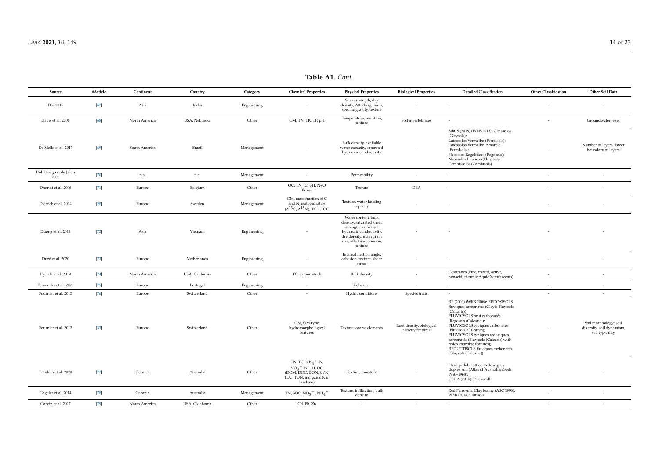| Source                        | #Article | Continent     | Country         | Category    | <b>Chemical Properties</b>                                                                                                         | <b>Physical Properties</b>                                                                                                                                           | <b>Biological Properties</b>                  | <b>Detailed Classification</b>                                                                                                                                                                                                                                                                                                                                                      | <b>Other Classification</b> | Other Soil Data                                                       |
|-------------------------------|----------|---------------|-----------------|-------------|------------------------------------------------------------------------------------------------------------------------------------|----------------------------------------------------------------------------------------------------------------------------------------------------------------------|-----------------------------------------------|-------------------------------------------------------------------------------------------------------------------------------------------------------------------------------------------------------------------------------------------------------------------------------------------------------------------------------------------------------------------------------------|-----------------------------|-----------------------------------------------------------------------|
| Das 2016                      | $[67]$   | Asia          | India           | Engineering |                                                                                                                                    | Shear strength, dry<br>density, Atterberg limits,<br>specific gravity, texture                                                                                       |                                               |                                                                                                                                                                                                                                                                                                                                                                                     |                             |                                                                       |
| Davis et al. 2006             | $[68]$   | North America | USA, Nebraska   | Other       | OM, TN, TK, TP, pH                                                                                                                 | Temperature, moisture,<br>texture                                                                                                                                    | Soil invertebrates                            | $\sim$                                                                                                                                                                                                                                                                                                                                                                              | $\sim$                      | Groundwater level                                                     |
| De Mello et al. 2017          | $[69]$   | South America | Brazil          | Management  |                                                                                                                                    | Bulk density, available<br>water capacity, saturated<br>hydraulic conductivity                                                                                       |                                               | SiBCS (2018) (WRB 2015): Gleissolos<br>(Gleysols);<br>Latossolos Vermelho (Ferralsols);<br>Latossolos Vermelho-Amarelo<br>(Ferralsols);<br>Neosolos Regolíticos (Regosols);<br>Neossolos Flúvicos (Fluvisols);<br>Cambissolos (Cambisols)                                                                                                                                           |                             | Number of layers, lower<br>boundary of layers                         |
| Del Tánago & de Jalón<br>2006 | $[70]$   | n.a.          | n.a.            | Management  | $\sim$                                                                                                                             | Permeability                                                                                                                                                         | $\sim$                                        | $\sim$                                                                                                                                                                                                                                                                                                                                                                              | $\sim$                      | $\sim$                                                                |
| Dhondt et al. 2006            | $[71]$   | Europe        | Belgium         | Other       | OC, TN, IC, $pH$ , $N_2O$<br>fluxes                                                                                                | Texture                                                                                                                                                              | <b>DEA</b>                                    |                                                                                                                                                                                                                                                                                                                                                                                     |                             | $\sim$                                                                |
| Dietrich et al. 2014          | $[28]$   | Europe        | Sweden          | Management  | OM, mass fraction of C<br>and N, isotopic ratios<br>$(\Delta^{13}C; \Delta^{15}N)$ , TC = TOC                                      | Texture, water holding<br>capacity                                                                                                                                   |                                               |                                                                                                                                                                                                                                                                                                                                                                                     |                             |                                                                       |
| Duong et al. 2014             | $[72]$   | Asia          | Vietnam         | Engineering |                                                                                                                                    | Water content, bulk<br>density, saturated shear<br>strength, saturated<br>hydraulic conductivity,<br>dry density, main grain<br>size, effective cohesion,<br>texture |                                               |                                                                                                                                                                                                                                                                                                                                                                                     |                             |                                                                       |
| Duró et al. 2020              | $[73]$   | Europe        | Netherlands     | Engineering | $\sim$                                                                                                                             | Internal friction angle,<br>cohesion, texture, shear<br>stress                                                                                                       |                                               |                                                                                                                                                                                                                                                                                                                                                                                     |                             | $\sim$                                                                |
| Dybala et al. 2019            | $[74]$   | North America | USA, California | Other       | TC, carbon stock                                                                                                                   | <b>Bulk</b> density                                                                                                                                                  | $\overline{a}$                                | Cosumnes (Fine, mixed, active,<br>nonacid, thermic Aquic Xerofluvents)                                                                                                                                                                                                                                                                                                              | $\overline{\phantom{a}}$    | $\sim$                                                                |
| Fernandes et al. 2020         | $[75]$   | Europe        | Portugal        | Engineering | $\sim$                                                                                                                             | Cohesion                                                                                                                                                             | $\overline{a}$                                | $\sim$                                                                                                                                                                                                                                                                                                                                                                              | $\overline{a}$              | $\sim$                                                                |
| Fournier et al. 2015          | $[76]$   | Europe        | Switzerland     | Other       | $\sim$                                                                                                                             | Hydric conditions                                                                                                                                                    | Species traits                                | $\sim$                                                                                                                                                                                                                                                                                                                                                                              | $\sim$                      | $\sim$                                                                |
| Fournier et al. 2013          | [33]     | Europe        | Switzerland     | Other       | OM, OM-type,<br>hydromorphological<br>features                                                                                     | Texture, coarse elements                                                                                                                                             | Root density, biological<br>activity features | RP (2009) (WRB 2006): REDOXISOLS<br>fluviques carbonatés (Gleyic Fluvisols<br>(Calcaric));<br>FLUVIOSOLS brut carbonatés<br>(Regosols (Calcaric));<br>FLUVIOSOLS typiques carbonatés<br>(Fluvisols (Calcaric));<br>FLUVIOSOLS typiques redoxiques<br>carbonatés (Fluvisols (Calcaric) with<br>redoximorphic features);<br>REDUCTISOLS fluviques carbonatés<br>(Gleysols (Calcaric)) |                             | Soil morphology: soil<br>diversity, soil dynamism,<br>soil typicality |
| Franklin et al. 2020          | $[77]$   | Oceania       | Australia       | Other       | TN, TC, $NH_4$ <sup>+</sup> -N,<br>$NO3$ <sup>-</sup> -N, pH, OC;<br>(DOM, DOC, DON, C/N,<br>TDC, TDN, inorganic N in<br>leachate) | Texture, moisture                                                                                                                                                    |                                               | Hard pedal mottled-yellow-grey<br>duplex soil (Atlas of Australian Soils<br>1960-1968);<br>USDA (2014): Paleustalf                                                                                                                                                                                                                                                                  |                             |                                                                       |
| Gageler et al. 2014           | $[78]$   | Oceania       | Australia       | Management  | TN, SOC, $NO_3^-$ , $NH_4^+$                                                                                                       | Texture, infiltration, bulk<br>density                                                                                                                               |                                               | Red Ferrosols; Clay loamy (ASC 1996);<br>WRB (2014): Nitisols                                                                                                                                                                                                                                                                                                                       | $\sim$                      | $\sim$                                                                |
| Garvin et al. 2017            | $[79]$   | North America | USA, Oklahoma   | Other       | Cd, Pb, Zn                                                                                                                         | $\sim$                                                                                                                                                               | $\sim$                                        | $\sim$                                                                                                                                                                                                                                                                                                                                                                              | $\sim$                      | $\sim$                                                                |

**Table A1.** *Cont.*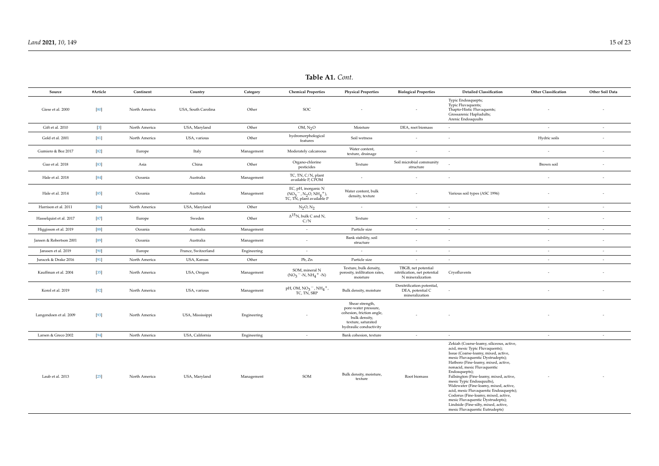| Source                  | #Article         | Continent     | Country             | Category    | <b>Chemical Properties</b>                                                              | <b>Physical Properties</b>                                                                                                            | <b>Biological Properties</b>                                            | <b>Detailed Classification</b>                                                                                                                                                                                                                                                                                                                                                                                                                                                                                                                                | <b>Other Classification</b> | Other Soil Data |
|-------------------------|------------------|---------------|---------------------|-------------|-----------------------------------------------------------------------------------------|---------------------------------------------------------------------------------------------------------------------------------------|-------------------------------------------------------------------------|---------------------------------------------------------------------------------------------------------------------------------------------------------------------------------------------------------------------------------------------------------------------------------------------------------------------------------------------------------------------------------------------------------------------------------------------------------------------------------------------------------------------------------------------------------------|-----------------------------|-----------------|
| Giese et al. 2000       | [80]             | North America | USA, South Carolina | Other       | SOC                                                                                     |                                                                                                                                       |                                                                         | Typic Endoaquepts;<br>Typic Fluvaquents;<br>Thapto-Histic Fluvaquents;<br>Grossarenic Hapludults;<br>Arenic Endoaquults                                                                                                                                                                                                                                                                                                                                                                                                                                       |                             |                 |
| Gift et al. 2010        | $\left[3\right]$ | North America | USA, Maryland       | Other       | OM, N <sub>2</sub> O                                                                    | Moisture                                                                                                                              | DEA, root biomass                                                       | $\sim$                                                                                                                                                                                                                                                                                                                                                                                                                                                                                                                                                        | $\sim$                      | $\sim$          |
| Gold et al. 2001        | [81]             | North America | USA, various        | Other       | hydromorphological<br>features                                                          | Soil wetness                                                                                                                          |                                                                         | $\sim$                                                                                                                                                                                                                                                                                                                                                                                                                                                                                                                                                        | Hydric soils                | $\sim$          |
| Gumiero & Boz 2017      | $[82]$           | Europe        | Italy               | Management  | Moderately calcareous                                                                   | Water content,<br>texture, drainage                                                                                                   |                                                                         |                                                                                                                                                                                                                                                                                                                                                                                                                                                                                                                                                               | ÷.                          | $\sim$          |
| Guo et al. 2018         | $[83]$           | Asia          | China               | Other       | Organo-chlorine<br>pesticides                                                           | Texture                                                                                                                               | Soil microbial community<br>structure                                   |                                                                                                                                                                                                                                                                                                                                                                                                                                                                                                                                                               | Brown soil                  | $\sim$          |
| Hale et al. 2018        | $[84]$           | Oceania       | Australia           | Management  | TC, TN, C/N, plant<br>available P, CPOM                                                 | $\overline{\phantom{a}}$                                                                                                              | $\overline{\phantom{a}}$                                                |                                                                                                                                                                                                                                                                                                                                                                                                                                                                                                                                                               | $\sim$                      | $\sim$          |
| Hale et al. 2014        | 85]              | Oceania       | Australia           | Management  | EC, pH, inorganic N<br>$(NO3-, N2O, NH4+)$ ,<br>TC, TN, plant available P               | Water content, bulk<br>density, texture                                                                                               |                                                                         | Various soil types (ASC 1996)                                                                                                                                                                                                                                                                                                                                                                                                                                                                                                                                 |                             |                 |
| Harrison et al. 2011    | $[86]$           | North America | USA, Maryland       | Other       | $N_2O, N_2$                                                                             | $\sim$                                                                                                                                | $\sim$                                                                  | $\sim$                                                                                                                                                                                                                                                                                                                                                                                                                                                                                                                                                        | $\sim$                      | $\sim$          |
| Hasselquist et al. 2017 | $[87]$           | Europe        | Sweden              | Other       | $\Delta^{15}$ N, bulk C and N,<br>C/N                                                   | Texture                                                                                                                               | $\overline{a}$                                                          | $\sim$                                                                                                                                                                                                                                                                                                                                                                                                                                                                                                                                                        | $\overline{\phantom{a}}$    | $\sim$          |
| Higgisson et al. 2019   | $[88]$           | Oceania       | Australia           | Management  | $\overline{\phantom{a}}$                                                                | Particle size                                                                                                                         | $\sim$                                                                  | $\sim$                                                                                                                                                                                                                                                                                                                                                                                                                                                                                                                                                        | $\overline{\phantom{a}}$    | $\sim$          |
| Jansen & Robertson 2001 | [89]             | Oceania       | Australia           | Management  | $\sim$                                                                                  | Bank stability, soil<br>structure                                                                                                     | $\sim$                                                                  | $\sim$                                                                                                                                                                                                                                                                                                                                                                                                                                                                                                                                                        | $\sim$                      | $\sim$          |
| Janssen et al. 2019     | $[90]$           | Europe        | France, Switzerland | Engineering | $\sim$                                                                                  | $\sim$                                                                                                                                | $\sim$                                                                  | $\sim$                                                                                                                                                                                                                                                                                                                                                                                                                                                                                                                                                        | $\sim$                      | $\sim$          |
| Juracek & Drake 2016    | [91]             | North America | USA, Kansas         | Other       | Pb, Zn                                                                                  | Particle size                                                                                                                         | $\sim$                                                                  | $\sim$                                                                                                                                                                                                                                                                                                                                                                                                                                                                                                                                                        | $\sim$                      | $\sim$          |
| Kauffman et al. 2004    | [35]             | North America | USA, Oregon         | Management  | SOM, mineral N<br>$(NO_3 - N, NH_4 + N)$                                                | Texture, bulk density,<br>porosity, infiltration rates,<br>moisture                                                                   | TBGB, net potential<br>nitrification, net potential<br>N mineralization | Cryofluvents                                                                                                                                                                                                                                                                                                                                                                                                                                                                                                                                                  |                             | $\sim$          |
| Korol et al. 2019       | $[92]$           | North America | USA, various        | Management  | $pH$ , OM, NO <sub>3</sub> <sup>-</sup> , NH <sub>4</sub> <sup>+</sup> ,<br>TC, TN, SRP | Bulk density, moisture                                                                                                                | Denitrification potential,<br>DEA, potential C<br>mineralization        |                                                                                                                                                                                                                                                                                                                                                                                                                                                                                                                                                               |                             | $\sim$          |
| Langendoen et al. 2009  | $[93]$           | North America | USA, Mississippi    | Engineering |                                                                                         | Shear strength,<br>pore-water pressure,<br>cohesion, friction angle,<br>bulk density,<br>texture, saturated<br>hydraulic conductivity |                                                                         |                                                                                                                                                                                                                                                                                                                                                                                                                                                                                                                                                               |                             |                 |
| Larsen & Greco 2002     | $[94]$           | North America | USA, California     | Engineering | $\sim$                                                                                  | Bank cohesion, texture                                                                                                                | $\sim$                                                                  | $\sim$                                                                                                                                                                                                                                                                                                                                                                                                                                                                                                                                                        | $\sim$                      | $\sim$          |
| Laub et al. 2013        | $[25]$           | North America | USA, Maryland       | Management  | SOM                                                                                     | Bulk density, moisture,<br>texture                                                                                                    | Root biomass                                                            | Zekiah (Coarse-loamy, siliceous, active,<br>acid, mesic Typic Fluvaquents);<br>Issue (Coarse-loamy, mixed, active,<br>mesic Fluvaquentic Dystrudepts);<br>Hatboro (Fine-loamy, mixed, active,<br>nonacid, mesic Fluvaquentic<br>Endoaquepts);<br>Fallsington (Fine-loamy, mixed, active,<br>mesic Typic Endoaquults),<br>Widewater (Fine-loamy, mixed, active,<br>acid, mesic Fluvaquentic Endoaquepts);<br>Codorus (Fine-loamy, mixed, active,<br>mesic Fluvaquentic Dystrudepts);<br>Lindside (Fine-silty, mixed, active,<br>mesic Fluvaquentic Eutrudepts) |                             |                 |

**Table A1.** *Cont.*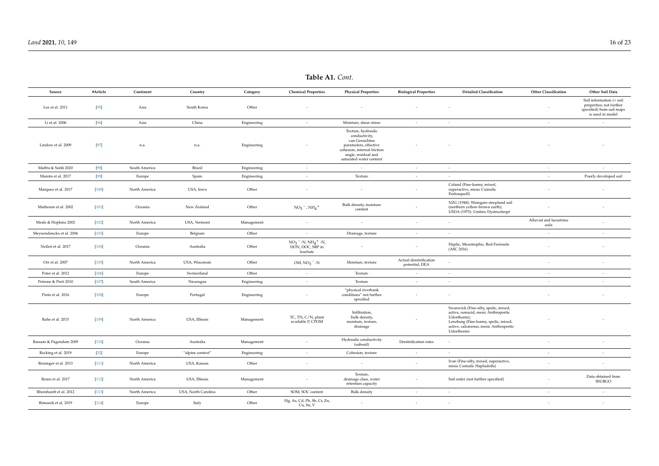| Source                   | #Article | Continent     | Country             | Category    | <b>Chemical Properties</b>                                                      | <b>Physical Properties</b>                                                                                                                                     | <b>Biological Properties</b>             | <b>Detailed Classification</b>                                                                                                                                                               | Other Classification             | Other Soil Data                                                                                      |
|--------------------------|----------|---------------|---------------------|-------------|---------------------------------------------------------------------------------|----------------------------------------------------------------------------------------------------------------------------------------------------------------|------------------------------------------|----------------------------------------------------------------------------------------------------------------------------------------------------------------------------------------------|----------------------------------|------------------------------------------------------------------------------------------------------|
| Lee et al. 2011          | $[95]$   | Asia          | South Korea         | Other       |                                                                                 |                                                                                                                                                                |                                          |                                                                                                                                                                                              |                                  | Soil information (= soil<br>properties; not further<br>specified) from soil maps<br>is used in model |
| Li et al. 2006           | $[96]$   | Asia          | China               | Engineering | $\sim$                                                                          | Moisture, shear stress                                                                                                                                         | $\sim$                                   | $\sim$                                                                                                                                                                                       | $\sim$                           | $\sim$                                                                                               |
| Lindow et al. 2009       | $[97]$   | n.a.          | n.a.                | Engineering |                                                                                 | Texture, hydraulic<br>conductivity,<br>van Genuchten<br>parameters, effective<br>cohesion, internal friction<br>angle, residual and<br>saturated water content |                                          |                                                                                                                                                                                              |                                  |                                                                                                      |
| Maffra & Sutili 2020     | $[98]$   | South America | Brazil              | Engineering | $\sim$                                                                          | $\sim$                                                                                                                                                         | $\sim$                                   | $\sim$                                                                                                                                                                                       | $\sim$                           | $\sim$                                                                                               |
| Maroto et al. 2017       | $[99]$   | Europe        | Spain               | Engineering | $\overline{\phantom{a}}$                                                        | Texture                                                                                                                                                        | $\sim$                                   | $\sim$                                                                                                                                                                                       | $\sim$                           | Poorly developed soil                                                                                |
| Marquez et al. 2017      | [100]    | North America | USA, Iowa           | Other       | $\overline{\phantom{a}}$                                                        |                                                                                                                                                                | $\overline{\phantom{a}}$                 | Coland (Fine-loamy, mixed,<br>superactive, mesic Cumulic<br>Endoaquoll)                                                                                                                      |                                  |                                                                                                      |
| Matheson et al. 2002     | [101]    | Oceania       | New Zealand         | Other       | $NO_3^-$ , $NH_4^+$                                                             | Bulk density, moisture<br>content                                                                                                                              |                                          | NZG (1948): Waingaro steepland soil<br>(northern yellow-brown earth);<br>USDA (1975): Umbric Dystrochrept                                                                                    |                                  | $\sim$                                                                                               |
| Meals & Hopkins 2002     | $[102]$  | North America | USA, Vermont        | Management  | $\overline{\phantom{a}}$                                                        | $\sim$                                                                                                                                                         | $\overline{\phantom{a}}$                 | $\sim$                                                                                                                                                                                       | Alluvial and lacustrine<br>soils | $\sim$                                                                                               |
| Meynendonckx et al. 2006 | [103]    | Europe        | Belgium             | Other       | $\sim$                                                                          | Drainage, texture                                                                                                                                              | $\sim$                                   | $\sim$                                                                                                                                                                                       | $\sim$                           | $\sim$                                                                                               |
| Neilen et al. 2017       | [104]    | Oceania       | Australia           | Other       | $NO_3$ <sup>-</sup> -N, $NH_4$ <sup>+</sup> -N,<br>DON, DOC, SRP in<br>leachate |                                                                                                                                                                | $\sim$                                   | Haplic, Mesotrophic, Red Ferrosols<br>(ASC 2016)                                                                                                                                             |                                  | $\sim$                                                                                               |
| Orr et al. 2007          | $[105]$  | North America | USA, Wisconsin      | Other       | $OM, NO3$ <sup>-</sup> -N                                                       | Moisture, texture                                                                                                                                              | Actual denitrification<br>potential, DEA |                                                                                                                                                                                              |                                  | $\sim$                                                                                               |
| Peter et al. 2012        | $[106]$  | Europe        | Switzerland         | Other       | $\sim$                                                                          | Texture                                                                                                                                                        | ÷.                                       | $\sim$                                                                                                                                                                                       | $\sim$                           | ÷.                                                                                                   |
| Petrone & Preti 2010     | $[107]$  | South America | Nicaragua           | Engineering | $\sim$                                                                          | Texture                                                                                                                                                        | $\sim$                                   | $\sim$                                                                                                                                                                                       | $\sim$                           | $\sim$                                                                                               |
| Pinto et al. 2016        | $[108]$  | Europe        | Portugal            | Engineering | $\sim$                                                                          | "physical riverbank<br>conditions" not further<br>specified                                                                                                    | $\overline{\phantom{a}}$                 | $\sim$                                                                                                                                                                                       |                                  | $\sim$                                                                                               |
| Rahe et al. 2015         | [109]    | North America | USA, Illinois       | Management  | TC, TN, C/N, plant<br>available P, CPOM                                         | Infiltration,<br>bulk density,<br>moisture, texture,<br>drainage                                                                                               |                                          | Swanwick (Fine-silty, spolic, mixed,<br>active, nonacid, mesic Anthroportic<br>Udorthents);<br>Lenzburg (Fine-loamy, spolic, mixed,<br>active, calcareous, mesic Anthroportic<br>Udorthents) |                                  |                                                                                                      |
| Rassam & Pagendam 2009   | [110]    | Oceania       | Australia           | Management  | $\sim$                                                                          | Hydraulic conductivity<br>(subsoil)                                                                                                                            | Denitrification rates                    | $\sim$                                                                                                                                                                                       |                                  | $\sim$                                                                                               |
| Recking et al. 2019      | $[32]$   | Europe        | "alpine context"    | Engineering | $\sim$                                                                          | Cohesion, texture                                                                                                                                              | $\sim$                                   | $\sim$                                                                                                                                                                                       | $\sim$                           | $\sim$                                                                                               |
| Reisinger et al. 2013    | $[111]$  | North America | USA, Kansas         | Other       | $\sim$                                                                          |                                                                                                                                                                | $\sim$                                   | Ivan (Fine-silty, mixed, superactive,<br>mesic Cumulic Hapludolls)                                                                                                                           |                                  | $\overline{\phantom{a}}$                                                                             |
| Remo et al. 2017         | [112]    | North America | USA, Illinois       | Management  |                                                                                 | Texture,<br>drainage class, water<br>retention capacity                                                                                                        |                                          | Soil order (not further specified)                                                                                                                                                           |                                  | Data obtained from<br><b>SSURGO</b>                                                                  |
| Rheinhardt et al. 2012   | [113]    | North America | USA, North Carolina | Other       | SOM, SOC content                                                                | <b>Bulk</b> density                                                                                                                                            | $\sim$                                   | $\sim$                                                                                                                                                                                       | $\sim$                           | $\sim$                                                                                               |
| Rimondi et al. 2019      | $[114]$  | Europe        | Italy               | Other       | Hg, As, Cd, Pb, Sb, Cr, Zn,<br>Cu, Sn, V                                        | $\sim$                                                                                                                                                         | $\sim$                                   | $\sim$                                                                                                                                                                                       | $\overline{\phantom{a}}$         | $\overline{\phantom{a}}$                                                                             |

**Table A1.** *Cont.*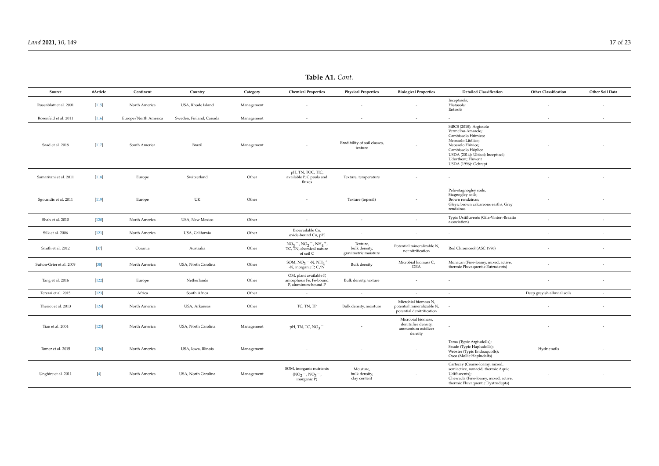| Source                   | #Article | Continent            | Country                 | Category   | <b>Chemical Properties</b>                                               | <b>Physical Properties</b>                        | <b>Biological Properties</b>                                                    | <b>Detailed Classification</b>                                                                                                                                                                                         | <b>Other Classification</b> | Other Soil Data          |
|--------------------------|----------|----------------------|-------------------------|------------|--------------------------------------------------------------------------|---------------------------------------------------|---------------------------------------------------------------------------------|------------------------------------------------------------------------------------------------------------------------------------------------------------------------------------------------------------------------|-----------------------------|--------------------------|
| Rosenblatt et al. 2001   | [115]    | North America        | USA, Rhode Island       | Management |                                                                          |                                                   |                                                                                 | Inceptisols;<br>Histosols;<br>Entisols                                                                                                                                                                                 |                             |                          |
| Rosenfeld et al. 2011    | $[116]$  | Europe/North America | Sweden, Finland, Canada | Management | $\sim$                                                                   | $\sim$                                            | $\sim$                                                                          | $\sim$                                                                                                                                                                                                                 | $\sim$                      | $\sim$                   |
| Saad et al. 2018         | $[117]$  | South America        | Brazil                  | Management |                                                                          | Erodibility of soil classes,<br>texture           |                                                                                 | SiBCS (2018): Argissolo<br>Vermelho-Amarelo;<br>Cambissolo Húmico;<br>Neossolo Litólico;<br>Neossolo Flúvico;<br>Cambissolo Háplico<br>USDA (2014): Ultisol; Inceptisol;<br>Udorthent; Fluvent<br>USDA (1996): Ochrept |                             |                          |
| Samaritani et al. 2011   | $[118]$  | Europe               | Switzerland             | Other      | pH, TN, TOC, TIC,<br>available P, C pools and<br>fluxes                  | Texture, temperature                              |                                                                                 |                                                                                                                                                                                                                        |                             |                          |
| Sgouridis et al. 2011    | $[119]$  | Europe               | UK                      | Other      |                                                                          | Texture (topsoil)                                 |                                                                                 | Pelo-stagnogley soils;<br>Stagnogley soils;<br>Brown rendzinas;<br>Gleyic brown calcareous earths; Grey<br>rendzinas                                                                                                   |                             |                          |
| Shah et al. 2010         | $[120]$  | North America        | USA, New Mexico         | Other      |                                                                          | $\sim$                                            |                                                                                 | Typic Ustifluvents (Gila-Vinton-Brazito<br>association)                                                                                                                                                                |                             |                          |
| Silk et al. 2006         | [121]    | North America        | USA, California         | Other      | Bioavailable Cu,<br>oxide-bound Cu, pH                                   | $\sim$                                            | $\overline{\phantom{a}}$                                                        | $\sim$                                                                                                                                                                                                                 | $\overline{\phantom{a}}$    | $\sim$                   |
| Smith et al. 2012        | $[37]$   | Oceania              | Australia               | Other      | $NO_3^-$ , $NO_2^-$ , $NH_4^+$ ,<br>TC, TN, chemical nature<br>of soil C | Texture,<br>bulk density,<br>gravimetric moisture | Potential mineralizable N,<br>net nitrification                                 | Red Chromosol (ASC 1996)                                                                                                                                                                                               |                             | $\overline{\phantom{a}}$ |
| Sutton-Grier et al. 2009 | $[38]$   | North America        | USA, North Carolina     | Other      | SOM, $NO3$ <sup>-</sup> -N, $NH4$ <sup>+</sup><br>-N, inorganic $P, C/N$ | <b>Bulk</b> density                               | Microbial biomass C,<br><b>DEA</b>                                              | Monacan (Fine-loamy, mixed, active,<br>thermic Fluvaquentic Eutrudepts)                                                                                                                                                |                             | $\sim$                   |
| Tang et al. 2016         | $[122]$  | Europe               | Netherlands             | Other      | OM, plant available P,<br>amorphous Fe, Fe-bound<br>P, aluminum-bound P  | Bulk density, texture                             |                                                                                 |                                                                                                                                                                                                                        |                             | $\overline{\phantom{a}}$ |
| Tererai et al. 2015      | $[123]$  | Africa               | South Africa            | Other      | $\sim$                                                                   | $\sim$                                            | $\overline{a}$                                                                  | $\sim$                                                                                                                                                                                                                 | Deep greyish alluvial soils | $\sim$                   |
| Theriot et al. 2013      | $[124]$  | North America        | USA, Arkansas           | Other      | TC, TN, TP                                                               | Bulk density, moisture                            | Microbial biomass N,<br>potential mineralizable N,<br>potential denitrification |                                                                                                                                                                                                                        |                             | $\sim$                   |
| Tian et al. 2004         | $[125]$  | North America        | USA, North Carolina     | Management | $pH$ , TN, TC, NO <sub>3</sub>                                           |                                                   | Microbial biomass,<br>denitrifier density,<br>ammonium oxidizer<br>density      |                                                                                                                                                                                                                        |                             |                          |
| Tomer et al. 2015        | $[126]$  | North America        | USA, Iowa, Illinois     | Management |                                                                          |                                                   |                                                                                 | Tama (Typic Argiudolls);<br>Saude (Typic Hapludolls);<br>Webster (Typic Endoaquolls);<br>Osco (Mollic Hapludalfs)                                                                                                      | Hydric soils                |                          |
| Unghire et al. 2011      | $[4]$    | North America        | USA, North Carolina     | Management | SOM, inorganic nutrients<br>$(NO2 - , NO3 - ,$<br>inorganic P)           | Moisture,<br>bulk density,<br>clay content        |                                                                                 | Cartecay (Coarse-loamy, mixed,<br>semiactive, nonacid, thermic Aquic<br>Udifluvents);<br>Chewacla (Fine-loamy, mixed, active,<br>thermic Fluvaquentic Dystrudepts)                                                     |                             |                          |

### **Table A1.** *Cont.*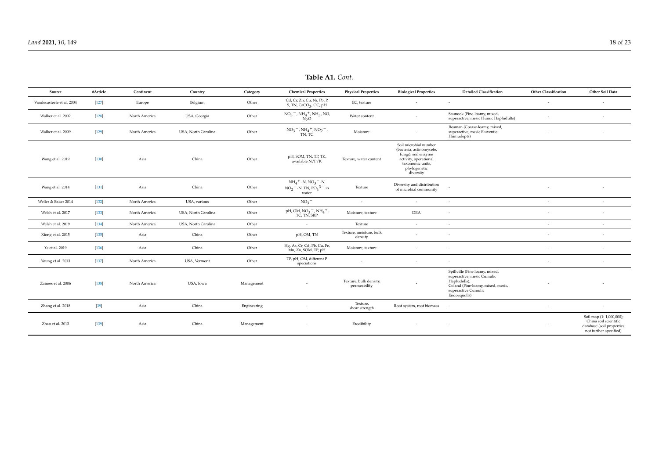<span id="page-17-0"></span>

| Source                    | #Article | Continent     | Country             | Category    | <b>Chemical Properties</b>                                                                                      | <b>Physical Properties</b>             | <b>Biological Properties</b>                                                                                                                       | <b>Detailed Classification</b>                                                                                                                           | <b>Other Classification</b> | Other Soil Data                                                                                          |
|---------------------------|----------|---------------|---------------------|-------------|-----------------------------------------------------------------------------------------------------------------|----------------------------------------|----------------------------------------------------------------------------------------------------------------------------------------------------|----------------------------------------------------------------------------------------------------------------------------------------------------------|-----------------------------|----------------------------------------------------------------------------------------------------------|
| Vandecasteele et al. 2004 | $[127]$  | Europe        | Belgium             | Other       | Cd, Cr, Zn, Cu, Ni, Pb, P,<br>S, TN, CaCO <sub>3</sub> , OC, pH                                                 | EC, texture                            | $\overline{\phantom{a}}$                                                                                                                           | $\sim$                                                                                                                                                   | ٠                           | $\overline{\phantom{a}}$                                                                                 |
| Walker et al. 2002        | $[128]$  | North America | USA, Georgia        | Other       | $NO_3^-$ , $NH_4^+$ , $NH_3$ , NO,<br>$N_2$ O                                                                   | Water content                          | $\sim$                                                                                                                                             | Saunook (Fine-loamy, mixed,<br>superactive, mesic Humic Hapludults)                                                                                      |                             | $\sim$                                                                                                   |
| Walker et al. 2009        | $[129]$  | North America | USA, North Carolina | Other       | $NO_3^-$ , $NH_4^+$ , $NO_2^-$ ,<br>TN, TC                                                                      | Moisture                               |                                                                                                                                                    | Rosman (Coarse-loamy, mixed,<br>superactive, mesic Fluventic<br>Humudepts)                                                                               |                             |                                                                                                          |
| Wang et al. 2019          | $[130]$  | Asia          | China               | Other       | pH, SOM, TN, TP, TK,<br>available N/P/K                                                                         | Texture, water content                 | Soil microbial number<br>(bacteria, actinomycete,<br>fungi), soil enzyme<br>activity, operational<br>taxonomic units,<br>phylogenetic<br>diversity |                                                                                                                                                          |                             |                                                                                                          |
| Wang et al. 2014          | $[131]$  | Asia          | China               | Other       | $NH_4$ <sup>+</sup> -N, $NO_3$ <sup>-</sup> -N,<br>$NO_2$ <sup>-</sup> -N, TN, $PO_4$ <sup>3-</sup> in<br>water | Texture                                | Diversity and distribution<br>of microbial community                                                                                               |                                                                                                                                                          |                             |                                                                                                          |
| Weller & Baker 2014       | $[132]$  | North America | USA, various        | Other       | NO <sub>3</sub>                                                                                                 | $\sim$                                 | $\overline{\phantom{a}}$                                                                                                                           | $\sim$                                                                                                                                                   | $\sim$                      | $\sim$                                                                                                   |
| Welsh et al. 2017         | $[133]$  | North America | USA, North Carolina | Other       | pH, OM, $NO_3^-$ , $NH_4^+$ , TC, TN, SRP                                                                       | Moisture, texture                      | <b>DEA</b>                                                                                                                                         | $\sim$                                                                                                                                                   | $\overline{\phantom{a}}$    | $\overline{\phantom{a}}$                                                                                 |
| Welsh et al. 2019         | $[134]$  | North America | USA, North Carolina | Other       | $\sim$                                                                                                          | Texture                                | $\sim$                                                                                                                                             | $\sim$                                                                                                                                                   | $\sim$                      | $\sim$                                                                                                   |
| Xiong et al. 2015         | $[135]$  | Asia          | China               | Other       | pH, OM, TN                                                                                                      | Texture, moisture, bulk<br>density     | $\overline{\phantom{a}}$                                                                                                                           | $\sim$                                                                                                                                                   |                             | $\sim$                                                                                                   |
| Ye et al. 2019            | $[136]$  | Asia          | China               | Other       | Hg, As, Cr, Cd, Pb, Cu, Fe,<br>Mn, Zn, SOM, TP, pH                                                              | Moisture, texture                      | $\sim$                                                                                                                                             | $\sim$                                                                                                                                                   | ÷                           | $\sim$                                                                                                   |
| Young et al. 2013         | $[137]$  | North America | USA, Vermont        | Other       | TP, pH, OM, different P<br>speciations                                                                          | $\sim$                                 | $\overline{\phantom{a}}$                                                                                                                           | $\sim$                                                                                                                                                   | $\sim$                      | $\sim$                                                                                                   |
| Zaimes et al. 2006        | $[138]$  | North America | USA, Iowa           | Management  | $\sim$                                                                                                          | Texture, bulk density,<br>permeability |                                                                                                                                                    | Spillville (Fine loamy, mixed,<br>superactive, mesic Cumulic<br>Hapludolls);<br>Coland (Fine-loamy, mixed, mesic,<br>superactive Cumulic<br>Endoaquolls) |                             |                                                                                                          |
| Zhang et al. 2018         | $[39]$   | Asia          | China               | Engineering | $\sim$                                                                                                          | Texture,<br>shear strength             | Root system, root biomass                                                                                                                          | $\sim$                                                                                                                                                   | $\sim$                      | $\sim$                                                                                                   |
| Zhao et al. 2013          | $[139]$  | Asia          | China               | Management  |                                                                                                                 | Erodibility                            |                                                                                                                                                    |                                                                                                                                                          |                             | Soil map (1: 1,000,000);<br>China soil scientific<br>database (soil properties<br>not further specified) |

**Table A1.** *Cont.*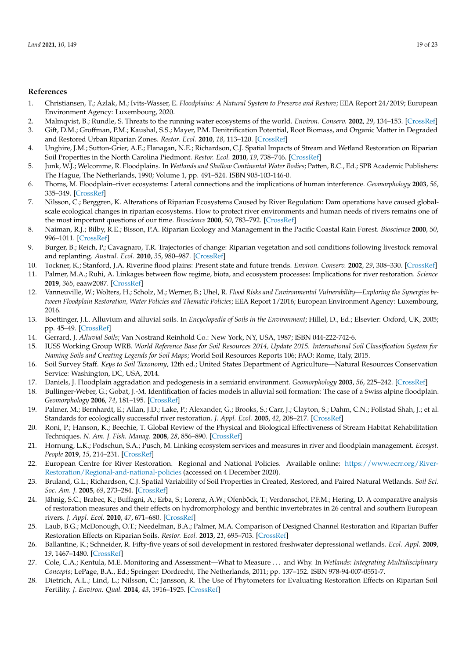#### <span id="page-18-30"></span><span id="page-18-28"></span><span id="page-18-26"></span>**References**

- <span id="page-18-0"></span>1. Christiansen, T.; Azlak, M.; Ivits-Wasser, E. *Floodplains: A Natural System to Preserve and Restore*; EEA Report 24/2019; European Environment Agency: Luxembourg, 2020.
- <span id="page-18-1"></span>2. Malmqvist, B.; Rundle, S. Threats to the running water ecosystems of the world. *Environ. Conserv.* **2002**, *29*, 134–153. [\[CrossRef\]](http://doi.org/10.1017/S0376892902000097)
- <span id="page-18-2"></span>3. Gift, D.M.; Groffman, P.M.; Kaushal, S.S.; Mayer, P.M. Denitrification Potential, Root Biomass, and Organic Matter in Degraded and Restored Urban Riparian Zones. *Restor. Ecol.* **2010**, *18*, 113–120. [\[CrossRef\]](http://doi.org/10.1111/j.1526-100X.2008.00438.x)
- <span id="page-18-3"></span>4. Unghire, J.M.; Sutton-Grier, A.E.; Flanagan, N.E.; Richardson, C.J. Spatial Impacts of Stream and Wetland Restoration on Riparian Soil Properties in the North Carolina Piedmont. *Restor. Ecol.* **2010**, *19*, 738–746. [\[CrossRef\]](http://doi.org/10.1111/j.1526-100X.2010.00726.x)
- <span id="page-18-4"></span>5. Junk, W.J.; Welcomme, R. Floodplains. In *Wetlands and Shallow Continental Water Bodies*; Patten, B.C., Ed.; SPB Academic Publishers: The Hague, The Netherlands, 1990; Volume 1, pp. 491–524. ISBN 905-103-146-0.
- <span id="page-18-5"></span>6. Thoms, M. Floodplain–river ecosystems: Lateral connections and the implications of human interference. *Geomorphology* **2003**, *56*, 335–349. [\[CrossRef\]](http://doi.org/10.1016/S0169-555X(03)00160-0)
- <span id="page-18-6"></span>7. Nilsson, C.; Berggren, K. Alterations of Riparian Ecosystems Caused by River Regulation: Dam operations have caused globalscale ecological changes in riparian ecosystems. How to protect river environments and human needs of rivers remains one of the most important questions of our time. *Bioscience* **2000**, *50*, 783–792. [\[CrossRef\]](http://doi.org/10.1641/0006-3568(2000)050[0783:Aorecb]2.0.Co;2)
- <span id="page-18-7"></span>8. Naiman, R.J.; Bilby, R.E.; Bisson, P.A. Riparian Ecology and Management in the Pacific Coastal Rain Forest. *Bioscience* **2000**, *50*, 996–1011. [\[CrossRef\]](http://doi.org/10.1641/0006-3568(2000)050[0996:REAMIT]2.0.CO;2)
- <span id="page-18-8"></span>9. Burger, B.; Reich, P.; Cavagnaro, T.R. Trajectories of change: Riparian vegetation and soil conditions following livestock removal and replanting. *Austral. Ecol.* **2010**, *35*, 980–987. [\[CrossRef\]](http://doi.org/10.1111/j.1442-9993.2010.02112.x)
- <span id="page-18-9"></span>10. Tockner, K.; Stanford, J.A. Riverine flood plains: Present state and future trends. *Environ. Conserv.* **2002**, *29*, 308–330. [\[CrossRef\]](http://doi.org/10.1017/S037689290200022X)
- <span id="page-18-10"></span>11. Palmer, M.A.; Ruhi, A. Linkages between flow regime, biota, and ecosystem processes: Implications for river restoration. *Science* **2019**, *365*, eaaw2087. [\[CrossRef\]](http://doi.org/10.1126/science.aaw2087)
- <span id="page-18-11"></span>12. Vanneuville, W.; Wolters, H.; Scholz, M.; Werner, B.; Uhel, R. *Flood Risks and Environmental Vulnerability—Exploring the Synergies between Floodplain Restoration, Water Policies and Thematic Policies*; EEA Report 1/2016; European Environment Agency: Luxembourg, 2016.
- <span id="page-18-12"></span>13. Boettinger, J.L. Alluvium and alluvial soils. In *Encyclopedia of Soils in the Environment*; Hillel, D., Ed.; Elsevier: Oxford, UK, 2005; pp. 45–49. [\[CrossRef\]](http://doi.org/10.1016/B0-12-348530-4/00008-4)
- <span id="page-18-29"></span><span id="page-18-13"></span>14. Gerrard, J. *Alluvial Soils*; Van Nostrand Reinhold Co.: New York, NY, USA, 1987; ISBN 044-222-742-6.
- <span id="page-18-14"></span>15. IUSS Working Group WRB. *World Reference Base for Soil Resources 2014, Update 2015. International Soil Classification System for Naming Soils and Creating Legends for Soil Maps*; World Soil Resources Reports 106; FAO: Rome, Italy, 2015.
- <span id="page-18-15"></span>16. Soil Survey Staff. *Keys to Soil Taxonomy*, 12th ed.; United States Department of Agriculture—Natural Resources Conservation Service: Washington, DC, USA, 2014.
- <span id="page-18-27"></span><span id="page-18-16"></span>17. Daniels, J. Floodplain aggradation and pedogenesis in a semiarid environment. *Geomorphology* **2003**, *56*, 225–242. [\[CrossRef\]](http://doi.org/10.1016/S0169-555X(03)00153-3)
- <span id="page-18-17"></span>18. Bullinger-Weber, G.; Gobat, J.-M. Identification of facies models in alluvial soil formation: The case of a Swiss alpine floodplain. *Geomorphology* **2006**, *74*, 181–195. [\[CrossRef\]](http://doi.org/10.1016/j.geomorph.2005.07.016)
- <span id="page-18-18"></span>19. Palmer, M.; Bernhardt, E.; Allan, J.D.; Lake, P.; Alexander, G.; Brooks, S.; Carr, J.; Clayton, S.; Dahm, C.N.; Follstad Shah, J.; et al. Standards for ecologically successful river restoration. *J. Appl. Ecol.* **2005**, *42*, 208–217. [\[CrossRef\]](http://doi.org/10.1111/j.1365-2664.2005.01004.x)
- 20. Roni, P.; Hanson, K.; Beechie, T. Global Review of the Physical and Biological Effectiveness of Stream Habitat Rehabilitation Techniques. *N. Am. J. Fish. Manag.* **2008**, *28*, 856–890. [\[CrossRef\]](http://doi.org/10.1577/M06-169.1)
- <span id="page-18-19"></span>21. Hornung, L.K.; Podschun, S.A.; Pusch, M. Linking ecosystem services and measures in river and floodplain management. *Ecosyst. People* **2019**, *15*, 214–231. [\[CrossRef\]](http://doi.org/10.1080/26395916.2019.1656287)
- <span id="page-18-20"></span>22. European Centre for River Restoration. Regional and National Policies. Available online: [https://www.ecrr.org/River-](https://www.ecrr.org/River-Restoration/Regional-and-national-policies)[Restoration/Regional-and-national-policies](https://www.ecrr.org/River-Restoration/Regional-and-national-policies) (accessed on 4 December 2020).
- <span id="page-18-21"></span>23. Bruland, G.L.; Richardson, C.J. Spatial Variability of Soil Properties in Created, Restored, and Paired Natural Wetlands. *Soil Sci. Soc. Am. J.* **2005**, *69*, 273–284. [\[CrossRef\]](http://doi.org/10.2136/sssaj2005.0273a)
- 24. Jähnig, S.C.; Brabec, K.; Buffagni, A.; Erba, S.; Lorenz, A.W.; Ofenböck, T.; Verdonschot, P.F.M.; Hering, D. A comparative analysis of restoration measures and their effects on hydromorphology and benthic invertebrates in 26 central and southern European rivers. *J. Appl. Ecol.* **2010**, *47*, 671–680. [\[CrossRef\]](http://doi.org/10.1111/j.1365-2664.2010.01807.x)
- <span id="page-18-22"></span>25. Laub, B.G.; McDonough, O.T.; Needelman, B.A.; Palmer, M.A. Comparison of Designed Channel Restoration and Riparian Buffer Restoration Effects on Riparian Soils. *Restor. Ecol.* **2013**, *21*, 695–703. [\[CrossRef\]](http://doi.org/10.1111/rec.12010)
- <span id="page-18-23"></span>26. Ballantine, K.; Schneider, R. Fifty-five years of soil development in restored freshwater depressional wetlands. *Ecol. Appl.* **2009**, *19*, 1467–1480. [\[CrossRef\]](http://doi.org/10.1890/07-0588.1)
- <span id="page-18-24"></span>27. Cole, C.A.; Kentula, M.E. Monitoring and Assessment—What to Measure . . . and Why. In *Wetlands: Integrating Multidisciplinary Concepts*; LePage, B.A., Ed.; Springer: Dordrecht, The Netherlands, 2011; pp. 137–152. ISBN 978-94-007-0551-7.
- <span id="page-18-25"></span>28. Dietrich, A.L.; Lind, L.; Nilsson, C.; Jansson, R. The Use of Phytometers for Evaluating Restoration Effects on Riparian Soil Fertility. *J. Environ. Qual.* **2014**, *43*, 1916–1925. [\[CrossRef\]](http://doi.org/10.2134/jeq2014.05.0197)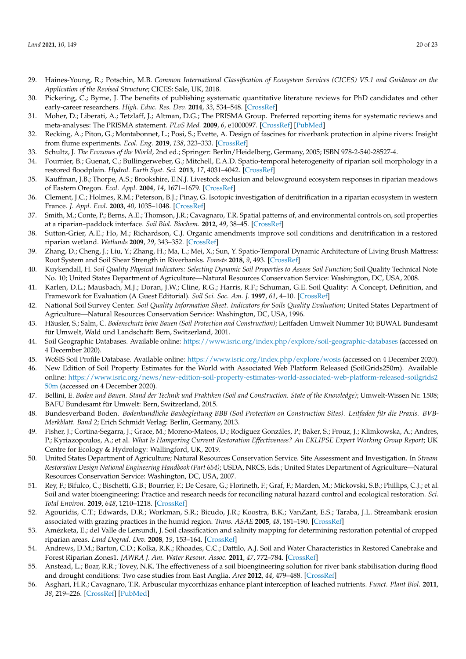- <span id="page-19-34"></span><span id="page-19-33"></span><span id="page-19-32"></span><span id="page-19-31"></span><span id="page-19-30"></span><span id="page-19-29"></span><span id="page-19-28"></span><span id="page-19-0"></span>29. Haines-Young, R.; Potschin, M.B. *Common International Classification of Ecosystem Services (CICES) V5.1 and Guidance on the Application of the Revised Structure*; CICES: Sale, UK, 2018.
- <span id="page-19-1"></span>30. Pickering, C.; Byrne, J. The benefits of publishing systematic quantitative literature reviews for PhD candidates and other early-career researchers. *High. Educ. Res. Dev.* **2014**, *33*, 534–548. [\[CrossRef\]](http://doi.org/10.1080/07294360.2013.841651)
- <span id="page-19-2"></span>31. Moher, D.; Liberati, A.; Tetzlaff, J.; Altman, D.G.; The PRISMA Group. Preferred reporting items for systematic reviews and meta-analyses: The PRISMA statement. *PLoS Med.* **2009**, *6*, e1000097. [\[CrossRef\]](http://doi.org/10.1371/journal.pmed.1000097) [\[PubMed\]](http://www.ncbi.nlm.nih.gov/pubmed/19621072)
- <span id="page-19-3"></span>32. Recking, A.; Piton, G.; Montabonnet, L.; Posi, S.; Evette, A. Design of fascines for riverbank protection in alpine rivers: Insight from flume experiments. *Ecol. Eng.* **2019**, *138*, 323–333. [\[CrossRef\]](http://doi.org/10.1016/j.ecoleng.2019.07.019)
- <span id="page-19-4"></span>33. Schultz, J. *The Ecozones of the World*, 2nd ed.; Springer: Berlin/Heidelberg, Germany, 2005; ISBN 978-2-540-28527-4.
- <span id="page-19-5"></span>34. Fournier, B.; Guenat, C.; Bullingerweber, G.; Mitchell, E.A.D. Spatio-temporal heterogeneity of riparian soil morphology in a restored floodplain. *Hydrol. Earth Syst. Sci.* **2013**, *17*, 4031–4042. [\[CrossRef\]](http://doi.org/10.5194/hess-17-4031-2013)
- <span id="page-19-6"></span>35. Kauffman, J.B.; Thorpe, A.S.; Brookshire, E.N.J. Livestock exclusion and belowground ecosystem responses in riparian meadows of Eastern Oregon. *Ecol. Appl.* **2004**, *14*, 1671–1679. [\[CrossRef\]](http://doi.org/10.1890/03-5083)
- <span id="page-19-7"></span>36. Clement, J.C.; Holmes, R.M.; Peterson, B.J.; Pinay, G. Isotopic investigation of denitrification in a riparian ecosystem in western France. *J. Appl. Ecol.* **2003**, *40*, 1035–1048. [\[CrossRef\]](http://doi.org/10.1111/j.1365-2664.2003.00854.x)
- <span id="page-19-8"></span>37. Smith, M.; Conte, P.; Berns, A.E.; Thomson, J.R.; Cavagnaro, T.R. Spatial patterns of, and environmental controls on, soil properties at a riparian–paddock interface. *Soil Biol. Biochem.* **2012**, *49*, 38–45. [\[CrossRef\]](http://doi.org/10.1016/j.soilbio.2012.02.007)
- <span id="page-19-9"></span>38. Sutton-Grier, A.E.; Ho, M.; Richardson, C.J. Organic amendments improve soil conditions and denitrification in a restored riparian wetland. *Wetlands* **2009**, *29*, 343–352. [\[CrossRef\]](http://doi.org/10.1672/08-70.1)
- <span id="page-19-10"></span>39. Zhang, D.; Cheng, J.; Liu, Y.; Zhang, H.; Ma, L.; Mei, X.; Sun, Y. Spatio-Temporal Dynamic Architecture of Living Brush Mattress: Root System and Soil Shear Strength in Riverbanks. *Forests* **2018**, *9*, 493. [\[CrossRef\]](http://doi.org/10.3390/f9080493)
- <span id="page-19-11"></span>40. Kuykendall, H. Soil Quality Physical Indicators: Selecting Dynamic Soil Properties to Assess Soil Function; Soil Quality Technical Note No. 10; United States Department of Agriculture—Natural Resources Conservation Service: Washington, DC, USA, 2008.
- <span id="page-19-12"></span>41. Karlen, D.L.; Mausbach, M.J.; Doran, J.W.; Cline, R.G.; Harris, R.F.; Schuman, G.E. Soil Quality: A Concept, Definition, and Framework for Evaluation (A Guest Editorial). *Soil Sci. Soc. Am. J.* **1997**, *61*, 4–10. [\[CrossRef\]](http://doi.org/10.2136/sssaj1997.03615995006100010001x)
- <span id="page-19-13"></span>42. National Soil Survey Center. *Soil Quality Information Sheet. Indicators for Soils Quality Evaluation*; United States Department of Agriculture—Natural Resources Conservation Service: Washington, DC, USA, 1996.
- <span id="page-19-23"></span><span id="page-19-14"></span>43. Häusler, S.; Salm, C. *Bodenschutz beim Bauen (Soil Protection and Construction)*; Leitfaden Umwelt Nummer 10; BUWAL Bundesamt für Umwelt, Wald und Landschaft: Bern, Switzerland, 2001.
- <span id="page-19-24"></span><span id="page-19-15"></span>44. Soil Geographic Databases. Available online: <https://www.isric.org/index.php/explore/soil-geographic-databases> (accessed on 4 December 2020).
- <span id="page-19-25"></span><span id="page-19-16"></span>45. WoSIS Soil Profile Database. Available online: <https://www.isric.org/index.php/explore/wosis> (accessed on 4 December 2020).
- <span id="page-19-26"></span><span id="page-19-17"></span>46. New Edition of Soil Property Estimates for the World with Associated Web Platform Released (SoilGrids250m). Available online: [https://www.isric.org/news/new-edition-soil-property-estimates-world-associated-web-platform-released-soilgrids2](https://www.isric.org/news/new-edition-soil-property-estimates-world-associated-web-platform-released-soilgrids250m) [50m](https://www.isric.org/news/new-edition-soil-property-estimates-world-associated-web-platform-released-soilgrids250m) (accessed on 4 December 2020).
- <span id="page-19-27"></span><span id="page-19-18"></span>47. Bellini, E. *Boden und Bauen. Stand der Technik und Praktiken (Soil and Construction. State of the Knowledge)*; Umwelt-Wissen Nr. 1508; BAFU Bundesamt für Umwelt: Bern, Switzerland, 2015.
- <span id="page-19-19"></span>48. Bundesverband Boden. *Bodenkundliche Baubegleitung BBB (Soil Protection on Construction Sites). Leitfaden für die Praxis. BVB-Merkblatt. Band 2*; Erich Schmidt Verlag: Berlin, Germany, 2013.
- <span id="page-19-20"></span>49. Fisher, J.; Cortina-Segarra, J.; Grace, M.; Moreno-Mateos, D.; Rodíguez Gonzáles, P.; Baker, S.; Frouz, J.; Klimkowska, A.; Andres, P.; Kyriazopoulos, A.; et al. *What Is Hampering Current Restoration Effectiveness? An EKLIPSE Expert Working Group Report*; UK Centre for Ecology & Hydrology: Wallingford, UK, 2019.
- <span id="page-19-21"></span>50. United States Department of Agriculture; Natural Resources Conservation Service. Site Assessment and Investigation. In *Stream Restoration Design National Engineering Handbook (Part 654)*; USDA, NRCS, Eds.; United States Department of Agriculture—Natural Resources Conservation Service: Washington, DC, USA, 2007.
- <span id="page-19-22"></span>51. Rey, F.; Bifulco, C.; Bischetti, G.B.; Bourrier, F.; De Cesare, G.; Florineth, F.; Graf, F.; Marden, M.; Mickovski, S.B.; Phillips, C.J.; et al. Soil and water bioengineering: Practice and research needs for reconciling natural hazard control and ecological restoration. *Sci. Total Environ.* **2019**, *648*, 1210–1218. [\[CrossRef\]](http://doi.org/10.1016/j.scitotenv.2018.08.217)
- 52. Agouridis, C.T.; Edwards, D.R.; Workman, S.R.; Bicudo, J.R.; Koostra, B.K.; VanZant, E.S.; Taraba, J.L. Streambank erosion associated with grazing practices in the humid region. *Trans. ASAE* **2005**, *48*, 181–190. [\[CrossRef\]](http://doi.org/10.13031/2013.17961)
- 53. Amézketa, E.; del Valle de Lersundi, J. Soil classification and salinity mapping for determining restoration potential of cropped riparian areas. *Land Degrad. Dev.* **2008**, *19*, 153–164. [\[CrossRef\]](http://doi.org/10.1002/ldr.820)
- 54. Andrews, D.M.; Barton, C.D.; Kolka, R.K.; Rhoades, C.C.; Dattilo, A.J. Soil and Water Characteristics in Restored Canebrake and Forest Riparian Zones1. *JAWRA J. Am. Water Resour. Assoc.* **2011**, *47*, 772–784. [\[CrossRef\]](http://doi.org/10.1111/j.1752-1688.2011.00555.x)
- 55. Anstead, L.; Boar, R.R.; Tovey, N.K. The effectiveness of a soil bioengineering solution for river bank stabilisation during flood and drought conditions: Two case studies from East Anglia. *Area* **2012**, *44*, 479–488. [\[CrossRef\]](http://doi.org/10.1111/j.1475-4762.2012.01132.x)
- 56. Asghari, H.R.; Cavagnaro, T.R. Arbuscular mycorrhizas enhance plant interception of leached nutrients. *Funct. Plant Biol.* **2011**, *38*, 219–226. [\[CrossRef\]](http://doi.org/10.1071/FP10180) [\[PubMed\]](http://www.ncbi.nlm.nih.gov/pubmed/32480878)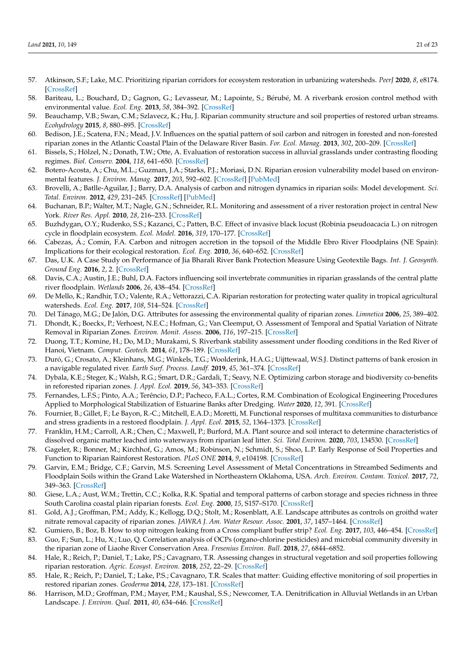- <span id="page-20-11"></span><span id="page-20-10"></span><span id="page-20-9"></span><span id="page-20-8"></span><span id="page-20-7"></span><span id="page-20-6"></span><span id="page-20-5"></span><span id="page-20-4"></span><span id="page-20-3"></span><span id="page-20-2"></span><span id="page-20-1"></span><span id="page-20-0"></span>57. Atkinson, S.F.; Lake, M.C. Prioritizing riparian corridors for ecosystem restoration in urbanizing watersheds. *PeerJ* **2020**, *8*, e8174. [\[CrossRef\]](http://doi.org/10.7717/peerj.8174)
- <span id="page-20-12"></span>58. Bariteau, L.; Bouchard, D.; Gagnon, G.; Levasseur, M.; Lapointe, S.; Bérubé, M. A riverbank erosion control method with environmental value. *Ecol. Eng.* **2013**, *58*, 384–392. [\[CrossRef\]](http://doi.org/10.1016/j.ecoleng.2013.06.004)
- <span id="page-20-13"></span>59. Beauchamp, V.B.; Swan, C.M.; Szlavecz, K.; Hu, J. Riparian community structure and soil properties of restored urban streams. *Ecohydrology* **2015**, *8*, 880–895. [\[CrossRef\]](http://doi.org/10.1002/eco.1644)
- <span id="page-20-14"></span>60. Bedison, J.E.; Scatena, F.N.; Mead, J.V. Influences on the spatial pattern of soil carbon and nitrogen in forested and non-forested riparian zones in the Atlantic Coastal Plain of the Delaware River Basin. *For. Ecol. Manag.* **2013**, *302*, 200–209. [\[CrossRef\]](http://doi.org/10.1016/j.foreco.2013.03.012)
- <span id="page-20-15"></span>61. Bissels, S.; Hölzel, N.; Donath, T.W.; Otte, A. Evaluation of restoration success in alluvial grasslands under contrasting flooding regimes. *Biol. Conserv.* **2004**, *118*, 641–650. [\[CrossRef\]](http://doi.org/10.1016/j.biocon.2003.10.013)
- <span id="page-20-16"></span>62. Botero-Acosta, A.; Chu, M.L.; Guzman, J.A.; Starks, P.J.; Moriasi, D.N. Riparian erosion vulnerability model based on environmental features. *J. Environ. Manag.* **2017**, *203*, 592–602. [\[CrossRef\]](http://doi.org/10.1016/j.jenvman.2017.02.045) [\[PubMed\]](http://www.ncbi.nlm.nih.gov/pubmed/28318825)
- <span id="page-20-17"></span>63. Brovelli, A.; Batlle-Aguilar, J.; Barry, D.A. Analysis of carbon and nitrogen dynamics in riparian soils: Model development. *Sci. Total. Environ.* **2012**, *429*, 231–245. [\[CrossRef\]](http://doi.org/10.1016/j.scitotenv.2012.04.027) [\[PubMed\]](http://www.ncbi.nlm.nih.gov/pubmed/22578521)
- <span id="page-20-18"></span>64. Buchanan, B.P.; Walter, M.T.; Nagle, G.N.; Schneider, R.L. Monitoring and assessment of a river restoration project in central New York. *River Res. Appl.* **2010**, *28*, 216–233. [\[CrossRef\]](http://doi.org/10.1002/rra.1453)
- <span id="page-20-19"></span>65. Buzhdygan, O.Y.; Rudenko, S.S.; Kazanci, C.; Patten, B.C. Effect of invasive black locust (Robinia pseudoacacia L.) on nitrogen cycle in floodplain ecosystem. *Ecol. Model.* **2016**, *319*, 170–177. [\[CrossRef\]](http://doi.org/10.1016/j.ecolmodel.2015.07.025)
- <span id="page-20-20"></span>66. Cabezas, Á.; Comín, F.A. Carbon and nitrogen accretion in the topsoil of the Middle Ebro River Floodplains (NE Spain): Implications for their ecological restoration. *Ecol. Eng.* **2010**, *36*, 640–652. [\[CrossRef\]](http://doi.org/10.1016/j.ecoleng.2008.07.021)
- <span id="page-20-21"></span>67. Das, U.K. A Case Study on Performance of Jia Bharali River Bank Protection Measure Using Geotextile Bags. *Int. J. Geosynth. Ground Eng.* **2016**, *2*, 2. [\[CrossRef\]](http://doi.org/10.1007/s40891-016-0052-8)
- <span id="page-20-22"></span>68. Davis, C.A.; Austin, J.E.; Buhl, D.A. Factors influencing soil invertebrate communities in riparian grasslands of the central platte river floodplain. *Wetlands* **2006**, *26*, 438–454. [\[CrossRef\]](http://doi.org/10.1672/0277-5212(2006)26[438:FISICI]2.0.CO;2)
- <span id="page-20-23"></span>69. De Mello, K.; Randhir, T.O.; Valente, R.A.; Vettorazzi, C.A. Riparian restoration for protecting water quality in tropical agricultural watersheds. *Ecol. Eng.* **2017**, *108*, 514–524. [\[CrossRef\]](http://doi.org/10.1016/j.ecoleng.2017.06.049)
- <span id="page-20-24"></span>70. Del Tánago, M.G.; De Jalón, D.G. Attributes for assessing the environmental quality of riparian zones. *Limnetica* **2006**, *25*, 389–402.
- 71. Dhondt, K.; Boeckx, P.; Verhoest, N.E.C.; Hofman, G.; Van Cleemput, O. Assessment of Temporal and Spatial Variation of Nitrate Removal in Riparian Zones. *Environ. Monit. Assess.* **2006**, *116*, 197–215. [\[CrossRef\]](http://doi.org/10.1007/s10661-006-7403-1)
- <span id="page-20-26"></span><span id="page-20-25"></span>72. Duong, T.T.; Komine, H.; Do, M.D.; Murakami, S. Riverbank stability assessment under flooding conditions in the Red River of Hanoi, Vietnam. *Comput. Geotech.* **2014**, *61*, 178–189. [\[CrossRef\]](http://doi.org/10.1016/j.compgeo.2014.05.016)
- <span id="page-20-27"></span>73. Duró, G.; Crosato, A.; Kleinhans, M.G.; Winkels, T.G.; Woolderink, H.A.G.; Uijttewaal, W.S.J. Distinct patterns of bank erosion in a navigable regulated river. *Earth Surf. Process. Landf.* **2019**, *45*, 361–374. [\[CrossRef\]](http://doi.org/10.1002/esp.4736)
- <span id="page-20-28"></span>74. Dybala, K.E.; Steger, K.; Walsh, R.G.; Smart, D.R.; Gardali, T.; Seavy, N.E. Optimizing carbon storage and biodiversity co-benefits in reforested riparian zones. *J. Appl. Ecol.* **2019**, *56*, 343–353. [\[CrossRef\]](http://doi.org/10.1111/1365-2664.13272)
- <span id="page-20-29"></span>75. Fernandes, L.F.S.; Pinto, A.A.; Terêncio, D.P.; Pacheco, F.A.L.; Cortes, R.M. Combination of Ecological Engineering Procedures Applied to Morphological Stabilization of Estuarine Banks after Dredging. *Water* **2020**, *12*, 391. [\[CrossRef\]](http://doi.org/10.3390/w12020391)
- 76. Fournier, B.; Gillet, F.; Le Bayon, R.-C.; Mitchell, E.A.D.; Moretti, M. Functional responses of multitaxa communities to disturbance and stress gradients in a restored floodplain. *J. Appl. Ecol.* **2015**, *52*, 1364–1373. [\[CrossRef\]](http://doi.org/10.1111/1365-2664.12493)
- 77. Franklin, H.M.; Carroll, A.R.; Chen, C.; Maxwell, P.; Burford, M.A. Plant source and soil interact to determine characteristics of dissolved organic matter leached into waterways from riparian leaf litter. *Sci. Total Environ.* **2020**, *703*, 134530. [\[CrossRef\]](http://doi.org/10.1016/j.scitotenv.2019.134530)
- 78. Gageler, R.; Bonner, M.; Kirchhof, G.; Amos, M.; Robinson, N.; Schmidt, S.; Shoo, L.P. Early Response of Soil Properties and Function to Riparian Rainforest Restoration. *PLoS ONE* **2014**, *9*, e104198. [\[CrossRef\]](http://doi.org/10.1371/journal.pone.0104198)
- 79. Garvin, E.M.; Bridge, C.F.; Garvin, M.S. Screening Level Assessment of Metal Concentrations in Streambed Sediments and Floodplain Soils within the Grand Lake Watershed in Northeastern Oklahoma, USA. *Arch. Environ. Contam. Toxicol.* **2017**, *72*, 349–363. [\[CrossRef\]](http://doi.org/10.1007/s00244-017-0376-y)
- 80. Giese, L.A.; Aust, W.M.; Trettin, C.C.; Kolka, R.K. Spatial and temporal patterns of carbon storage and species richness in three South Carolina coastal plain riparian forests. *Ecol. Eng.* **2000**, *15*, S157–S170. [\[CrossRef\]](http://doi.org/10.1016/S0925-8574(99)00081-6)
- 81. Gold, A.J.; Groffman, P.M.; Addy, K.; Kellogg, D.Q.; Stolt, M.; Rosenblatt, A.E. Landscape attributes as controls on groithd water nitrate removal capacity of riparian zones. *JAWRA J. Am. Water Resour. Assoc.* **2001**, *37*, 1457–1464. [\[CrossRef\]](http://doi.org/10.1111/j.1752-1688.2001.tb03652.x)
- 82. Gumiero, B.; Boz, B. How to stop nitrogen leaking from a Cross compliant buffer strip? *Ecol. Eng.* **2017**, *103*, 446–454. [\[CrossRef\]](http://doi.org/10.1016/j.ecoleng.2016.05.031) 83. Guo, F.; Sun, L.; Hu, X.; Luo, Q. Correlation analysis of OCPs (organo-chlorine pesticides) and microbial community diversity in the riparian zone of Liaohe River Conservation Area. *Fresenius Environ. Bull.* **2018**, *27*, 6844–6852.
- 84. Hale, R.; Reich, P.; Daniel, T.; Lake, P.S.; Cavagnaro, T.R. Assessing changes in structural vegetation and soil properties following riparian restoration. *Agric. Ecosyst. Environ.* **2018**, *252*, 22–29. [\[CrossRef\]](http://doi.org/10.1016/j.agee.2017.09.036)
- 85. Hale, R.; Reich, P.; Daniel, T.; Lake, P.S.; Cavagnaro, T.R. Scales that matter: Guiding effective monitoring of soil properties in restored riparian zones. *Geoderma* **2014**, *228*, 173–181. [\[CrossRef\]](http://doi.org/10.1016/j.geoderma.2013.09.019)
- 86. Harrison, M.D.; Groffman, P.M.; Mayer, P.M.; Kaushal, S.S.; Newcomer, T.A. Denitrification in Alluvial Wetlands in an Urban Landscape. *J. Environ. Qual.* **2011**, *40*, 634–646. [\[CrossRef\]](http://doi.org/10.2134/jeq2010.0335)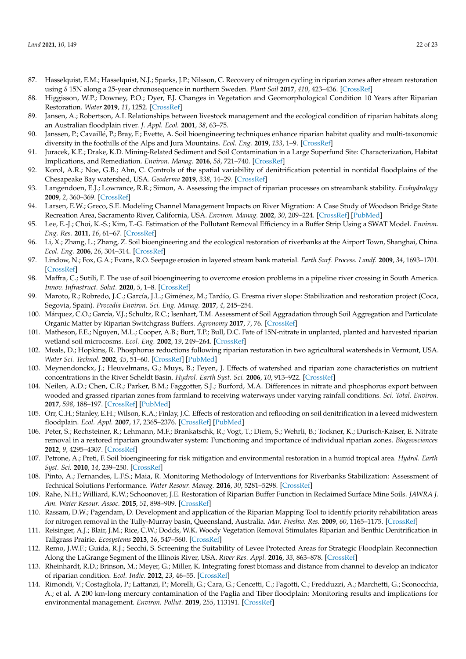- <span id="page-21-11"></span><span id="page-21-10"></span><span id="page-21-9"></span><span id="page-21-8"></span><span id="page-21-7"></span><span id="page-21-6"></span><span id="page-21-5"></span><span id="page-21-4"></span><span id="page-21-3"></span><span id="page-21-2"></span><span id="page-21-1"></span><span id="page-21-0"></span>87. Hasselquist, E.M.; Hasselquist, N.J.; Sparks, J.P.; Nilsson, C. Recovery of nitrogen cycling in riparian zones after stream restoration using δ 15N along a 25-year chronosequence in northern Sweden. *Plant Soil* **2017**, *410*, 423–436. [\[CrossRef\]](http://doi.org/10.1007/s11104-016-3038-3)
- <span id="page-21-12"></span>88. Higgisson, W.P.; Downey, P.O.; Dyer, F.J. Changes in Vegetation and Geomorphological Condition 10 Years after Riparian Restoration. *Water* **2019**, *11*, 1252. [\[CrossRef\]](http://doi.org/10.3390/w11061252)
- <span id="page-21-13"></span>89. Jansen, A.; Robertson, A.I. Relationships between livestock management and the ecological condition of riparian habitats along an Australian floodplain river. *J. Appl. Ecol.* **2001**, *38*, 63–75.
- <span id="page-21-14"></span>90. Janssen, P.; Cavaillé, P.; Bray, F.; Evette, A. Soil bioengineering techniques enhance riparian habitat quality and multi-taxonomic diversity in the foothills of the Alps and Jura Mountains. *Ecol. Eng.* **2019**, *133*, 1–9. [\[CrossRef\]](http://doi.org/10.1016/j.ecoleng.2019.04.017)
- <span id="page-21-15"></span>91. Juracek, K.E.; Drake, K.D. Mining-Related Sediment and Soil Contamination in a Large Superfund Site: Characterization, Habitat Implications, and Remediation. *Environ. Manag.* **2016**, *58*, 721–740. [\[CrossRef\]](http://doi.org/10.1007/s00267-016-0729-8)
- <span id="page-21-16"></span>92. Korol, A.R.; Noe, G.B.; Ahn, C. Controls of the spatial variability of denitrification potential in nontidal floodplains of the Chesapeake Bay watershed, USA. *Geoderma* **2019**, *338*, 14–29. [\[CrossRef\]](http://doi.org/10.1016/j.geoderma.2018.11.015)
- <span id="page-21-17"></span>93. Langendoen, E.J.; Lowrance, R.R.; Simon, A. Assessing the impact of riparian processes on streambank stability. *Ecohydrology* **2009**, *2*, 360–369. [\[CrossRef\]](http://doi.org/10.1002/eco.78)
- 94. Larsen, E.W.; Greco, S.E. Modeling Channel Management Impacts on River Migration: A Case Study of Woodson Bridge State Recreation Area, Sacramento River, California, USA. *Environ. Manag.* **2002**, *30*, 209–224. [\[CrossRef\]](http://doi.org/10.1007/s00267-002-2663-1) [\[PubMed\]](http://www.ncbi.nlm.nih.gov/pubmed/12105762)
- <span id="page-21-18"></span>95. Lee, E.-J.; Choi, K.-S.; Kim, T.-G. Estimation of the Pollutant Removal Efficiency in a Buffer Strip Using a SWAT Model. *Environ. Eng. Res.* **2011**, *16*, 61–67. [\[CrossRef\]](http://doi.org/10.4491/eer.2011.16.2.61)
- <span id="page-21-19"></span>96. Li, X.; Zhang, L.; Zhang, Z. Soil bioengineering and the ecological restoration of riverbanks at the Airport Town, Shanghai, China. *Ecol. Eng.* **2006**, *26*, 304–314. [\[CrossRef\]](http://doi.org/10.1016/j.ecoleng.2005.10.011)
- <span id="page-21-20"></span>97. Lindow, N.; Fox, G.A.; Evans, R.O. Seepage erosion in layered stream bank material. *Earth Surf. Process. Landf.* **2009**, *34*, 1693–1701. [\[CrossRef\]](http://doi.org/10.1002/esp.1874)
- <span id="page-21-21"></span>98. Maffra, C.; Sutili, F. The use of soil bioengineering to overcome erosion problems in a pipeline river crossing in South America. *Innov. Infrastruct. Solut.* **2020**, *5*, 1–8. [\[CrossRef\]](http://doi.org/10.1007/s41062-020-0273-5)
- <span id="page-21-22"></span>99. Maroto, R.; Robredo, J.C.; García, J.L.; Giménez, M.; Tardío, G. Eresma river slope: Stabilization and restoration project (Coca, Segovia, Spain). *Procedia Environ. Sci. Eng. Manag.* **2017**, *4*, 245–254.
- <span id="page-21-23"></span>100. Márquez, C.O.; García, V.J.; Schultz, R.C.; Isenhart, T.M. Assessment of Soil Aggradation through Soil Aggregation and Particulate Organic Matter by Riparian Switchgrass Buffers. *Agronomy* **2017**, *7*, 76. [\[CrossRef\]](http://doi.org/10.3390/agronomy7040076)
- <span id="page-21-24"></span>101. Matheson, F.E.; Nguyen, M.L.; Cooper, A.B.; Burt, T.P.; Bull, D.C. Fate of 15N-nitrate in unplanted, planted and harvested riparian wetland soil microcosms. *Ecol. Eng.* **2002**, *19*, 249–264. [\[CrossRef\]](http://doi.org/10.1016/S0925-8574(02)00093-9)
- <span id="page-21-25"></span>102. Meals, D.; Hopkins, R. Phosphorus reductions following riparian restoration in two agricultural watersheds in Vermont, USA. *Water Sci. Technol.* **2002**, *45*, 51–60. [\[CrossRef\]](http://doi.org/10.2166/wst.2002.0203) [\[PubMed\]](http://www.ncbi.nlm.nih.gov/pubmed/12079124)
- <span id="page-21-26"></span>103. Meynendonckx, J.; Heuvelmans, G.; Muys, B.; Feyen, J. Effects of watershed and riparian zone characteristics on nutrient concentrations in the River Scheldt Basin. *Hydrol. Earth Syst. Sci.* **2006**, *10*, 913–922. [\[CrossRef\]](http://doi.org/10.5194/hess-10-913-2006)
- <span id="page-21-27"></span>104. Neilen, A.D.; Chen, C.R.; Parker, B.M.; Faggotter, S.J.; Burford, M.A. Differences in nitrate and phosphorus export between wooded and grassed riparian zones from farmland to receiving waterways under varying rainfall conditions. *Sci. Total. Environ.* **2017**, *598*, 188–197. [\[CrossRef\]](http://doi.org/10.1016/j.scitotenv.2017.04.075) [\[PubMed\]](http://www.ncbi.nlm.nih.gov/pubmed/28441597)
- 105. Orr, C.H.; Stanley, E.H.; Wilson, K.A.; Finlay, J.C. Effects of restoration and reflooding on soil denitrification in a leveed midwestern floodplain. *Ecol. Appl.* **2007**, *17*, 2365–2376. [\[CrossRef\]](http://doi.org/10.1890/06-2113.1) [\[PubMed\]](http://www.ncbi.nlm.nih.gov/pubmed/18213975)
- 106. Peter, S.; Rechsteiner, R.; Lehmann, M.F.; Brankatschk, R.; Vogt, T.; Diem, S.; Wehrli, B.; Tockner, K.; Durisch-Kaiser, E. Nitrate removal in a restored riparian groundwater system: Functioning and importance of individual riparian zones. *Biogeosciences* **2012**, *9*, 4295–4307. [\[CrossRef\]](http://doi.org/10.5194/bg-9-4295-2012)
- 107. Petrone, A.; Preti, F. Soil bioengineering for risk mitigation and environmental restoration in a humid tropical area. *Hydrol. Earth Syst. Sci.* **2010**, *14*, 239–250. [\[CrossRef\]](http://doi.org/10.5194/hess-14-239-2010)
- 108. Pinto, A.; Fernandes, L.F.S.; Maia, R. Monitoring Methodology of Interventions for Riverbanks Stabilization: Assessment of Technical Solutions Performance. *Water Resour. Manag.* **2016**, *30*, 5281–5298. [\[CrossRef\]](http://doi.org/10.1007/s11269-016-1486-4)
- 109. Rahe, N.H.; Williard, K.W.; Schoonover, J.E. Restoration of Riparian Buffer Function in Reclaimed Surface Mine Soils. *JAWRA J. Am. Water Resour. Assoc.* **2015**, *51*, 898–909. [\[CrossRef\]](http://doi.org/10.1111/1752-1688.12339)
- 110. Rassam, D.W.; Pagendam, D. Development and application of the Riparian Mapping Tool to identify priority rehabilitation areas for nitrogen removal in the Tully-Murray basin, Queensland, Australia. *Mar. Freshw. Res.* **2009**, *60*, 1165–1175. [\[CrossRef\]](http://doi.org/10.1071/MF08358)
- 111. Reisinger, A.J.; Blair, J.M.; Rice, C.W.; Dodds, W.K. Woody Vegetation Removal Stimulates Riparian and Benthic Denitrification in Tallgrass Prairie. *Ecosystems* **2013**, *16*, 547–560. [\[CrossRef\]](http://doi.org/10.1007/s10021-012-9630-3)
- 112. Remo, J.W.F.; Guida, R.J.; Secchi, S. Screening the Suitability of Levee Protected Areas for Strategic Floodplain Reconnection Along the LaGrange Segment of the Illinois River, USA. *River Res. Appl.* **2016**, *33*, 863–878. [\[CrossRef\]](http://doi.org/10.1002/rra.3055)
- 113. Rheinhardt, R.D.; Brinson, M.; Meyer, G.; Miller, K. Integrating forest biomass and distance from channel to develop an indicator of riparian condition. *Ecol. Indic.* **2012**, *23*, 46–55. [\[CrossRef\]](http://doi.org/10.1016/j.ecolind.2012.03.017)
- 114. Rimondi, V.; Costagliola, P.; Lattanzi, P.; Morelli, G.; Cara, G.; Cencetti, C.; Fagotti, C.; Fredduzzi, A.; Marchetti, G.; Sconocchia, A.; et al. A 200 km-long mercury contamination of the Paglia and Tiber floodplain: Monitoring results and implications for environmental management. *Environ. Pollut.* **2019**, *255*, 113191. [\[CrossRef\]](http://doi.org/10.1016/j.envpol.2019.113191)